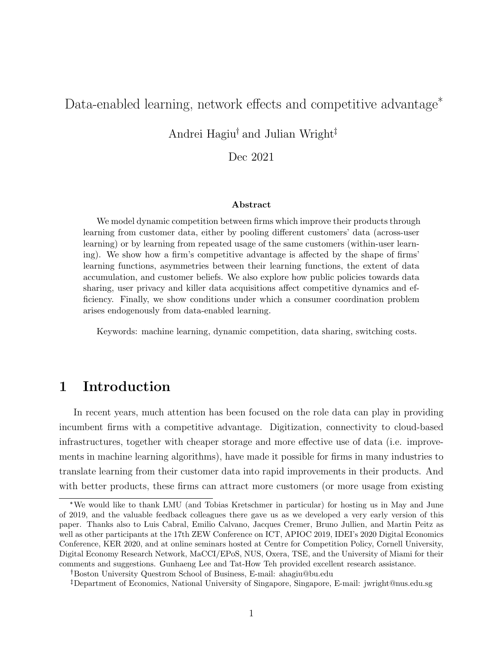# <span id="page-0-0"></span>Data-enabled learning, network effects and competitive advantage<sup>\*</sup>

# Andrei Hagiu<sup>†</sup> and Julian Wright<sup>‡</sup>

#### Dec 2021

#### Abstract

We model dynamic competition between firms which improve their products through learning from customer data, either by pooling different customers' data (across-user learning) or by learning from repeated usage of the same customers (within-user learning). We show how a firm's competitive advantage is affected by the shape of firms' learning functions, asymmetries between their learning functions, the extent of data accumulation, and customer beliefs. We also explore how public policies towards data sharing, user privacy and killer data acquisitions affect competitive dynamics and efficiency. Finally, we show conditions under which a consumer coordination problem arises endogenously from data-enabled learning.

Keywords: machine learning, dynamic competition, data sharing, switching costs.

# 1 Introduction

In recent years, much attention has been focused on the role data can play in providing incumbent firms with a competitive advantage. Digitization, connectivity to cloud-based infrastructures, together with cheaper storage and more effective use of data (i.e. improvements in machine learning algorithms), have made it possible for firms in many industries to translate learning from their customer data into rapid improvements in their products. And with better products, these firms can attract more customers (or more usage from existing

<sup>\*</sup>We would like to thank LMU (and Tobias Kretschmer in particular) for hosting us in May and June of 2019, and the valuable feedback colleagues there gave us as we developed a very early version of this paper. Thanks also to Luis Cabral, Emilio Calvano, Jacques Cremer, Bruno Jullien, and Martin Peitz as well as other participants at the 17th ZEW Conference on ICT, APIOC 2019, IDEI's 2020 Digital Economics Conference, KER 2020, and at online seminars hosted at Centre for Competition Policy, Cornell University, Digital Economy Research Network, MaCCI/EPoS, NUS, Oxera, TSE, and the University of Miami for their comments and suggestions. Gunhaeng Lee and Tat-How Teh provided excellent research assistance.

Boston University Questrom School of Business, E-mail: ahagiu@bu.edu

Department of Economics, National University of Singapore, Singapore, E-mail: jwright@nus.edu.sg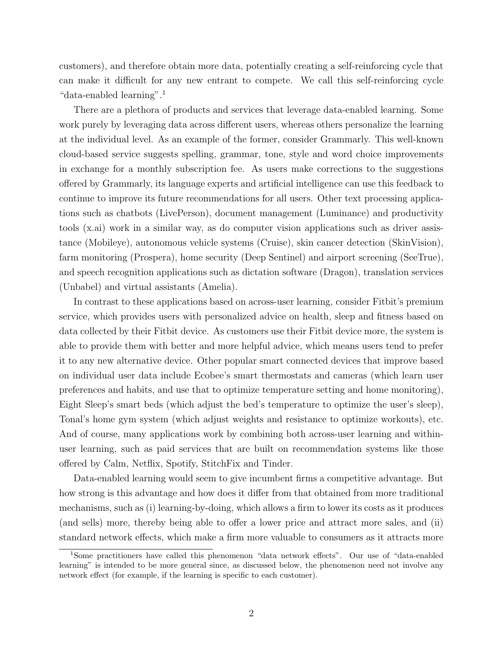customers), and therefore obtain more data, potentially creating a self-reinforcing cycle that can make it difficult for any new entrant to compete. We call this self-reinforcing cycle "data-enabled learning".[1](#page-0-0)

There are a plethora of products and services that leverage data-enabled learning. Some work purely by leveraging data across different users, whereas others personalize the learning at the individual level. As an example of the former, consider Grammarly. This well-known cloud-based service suggests spelling, grammar, tone, style and word choice improvements in exchange for a monthly subscription fee. As users make corrections to the suggestions offered by Grammarly, its language experts and artificial intelligence can use this feedback to continue to improve its future recommendations for all users. Other text processing applications such as chatbots (LivePerson), document management (Luminance) and productivity tools (x.ai) work in a similar way, as do computer vision applications such as driver assistance (Mobileye), autonomous vehicle systems (Cruise), skin cancer detection (SkinVision), farm monitoring (Prospera), home security (Deep Sentinel) and airport screening (SeeTrue), and speech recognition applications such as dictation software (Dragon), translation services (Unbabel) and virtual assistants (Amelia).

In contrast to these applications based on across-user learning, consider Fitbit's premium service, which provides users with personalized advice on health, sleep and fitness based on data collected by their Fitbit device. As customers use their Fitbit device more, the system is able to provide them with better and more helpful advice, which means users tend to prefer it to any new alternative device. Other popular smart connected devices that improve based on individual user data include Ecobee's smart thermostats and cameras (which learn user preferences and habits, and use that to optimize temperature setting and home monitoring), Eight Sleep's smart beds (which adjust the bed's temperature to optimize the user's sleep), Tonal's home gym system (which adjust weights and resistance to optimize workouts), etc. And of course, many applications work by combining both across-user learning and withinuser learning, such as paid services that are built on recommendation systems like those offered by Calm, Netflix, Spotify, StitchFix and Tinder.

Data-enabled learning would seem to give incumbent firms a competitive advantage. But how strong is this advantage and how does it differ from that obtained from more traditional mechanisms, such as (i) learning-by-doing, which allows a firm to lower its costs as it produces (and sells) more, thereby being able to offer a lower price and attract more sales, and (ii) standard network effects, which make a firm more valuable to consumers as it attracts more

<sup>1</sup>Some practitioners have called this phenomenon "data network effects". Our use of "data-enabled learning" is intended to be more general since, as discussed below, the phenomenon need not involve any network effect (for example, if the learning is specific to each customer).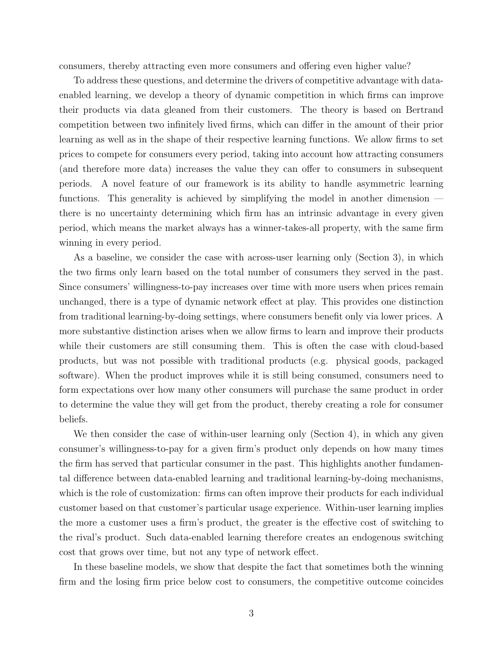consumers, thereby attracting even more consumers and offering even higher value?

To address these questions, and determine the drivers of competitive advantage with dataenabled learning, we develop a theory of dynamic competition in which firms can improve their products via data gleaned from their customers. The theory is based on Bertrand competition between two infinitely lived firms, which can differ in the amount of their prior learning as well as in the shape of their respective learning functions. We allow firms to set prices to compete for consumers every period, taking into account how attracting consumers (and therefore more data) increases the value they can offer to consumers in subsequent periods. A novel feature of our framework is its ability to handle asymmetric learning functions. This generality is achieved by simplifying the model in another dimension there is no uncertainty determining which firm has an intrinsic advantage in every given period, which means the market always has a winner-takes-all property, with the same firm winning in every period.

As a baseline, we consider the case with across-user learning only (Section [3\)](#page-6-0), in which the two firms only learn based on the total number of consumers they served in the past. Since consumers' willingness-to-pay increases over time with more users when prices remain unchanged, there is a type of dynamic network effect at play. This provides one distinction from traditional learning-by-doing settings, where consumers benefit only via lower prices. A more substantive distinction arises when we allow firms to learn and improve their products while their customers are still consuming them. This is often the case with cloud-based products, but was not possible with traditional products (e.g. physical goods, packaged software). When the product improves while it is still being consumed, consumers need to form expectations over how many other consumers will purchase the same product in order to determine the value they will get from the product, thereby creating a role for consumer beliefs.

We then consider the case of within-user learning only (Section [4\)](#page-23-0), in which any given consumer's willingness-to-pay for a given firm's product only depends on how many times the firm has served that particular consumer in the past. This highlights another fundamental difference between data-enabled learning and traditional learning-by-doing mechanisms, which is the role of customization: firms can often improve their products for each individual customer based on that customer's particular usage experience. Within-user learning implies the more a customer uses a firm's product, the greater is the effective cost of switching to the rival's product. Such data-enabled learning therefore creates an endogenous switching cost that grows over time, but not any type of network effect.

In these baseline models, we show that despite the fact that sometimes both the winning firm and the losing firm price below cost to consumers, the competitive outcome coincides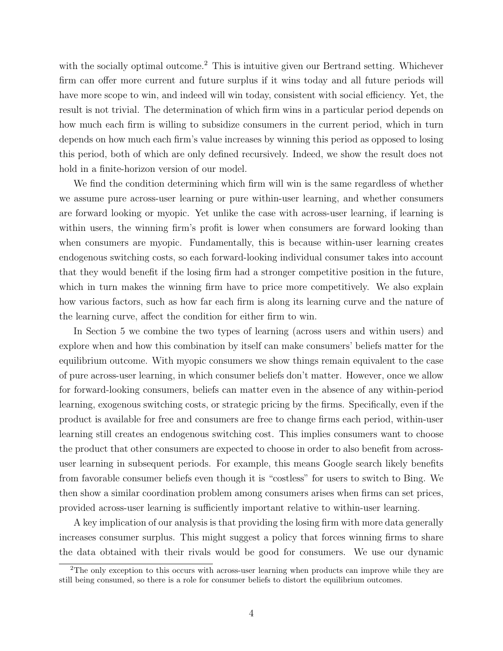with the socially optimal outcome.<sup>[2](#page-0-0)</sup> This is intuitive given our Bertrand setting. Whichever firm can offer more current and future surplus if it wins today and all future periods will have more scope to win, and indeed will win today, consistent with social efficiency. Yet, the result is not trivial. The determination of which firm wins in a particular period depends on how much each firm is willing to subsidize consumers in the current period, which in turn depends on how much each firm's value increases by winning this period as opposed to losing this period, both of which are only defined recursively. Indeed, we show the result does not hold in a finite-horizon version of our model.

We find the condition determining which firm will win is the same regardless of whether we assume pure across-user learning or pure within-user learning, and whether consumers are forward looking or myopic. Yet unlike the case with across-user learning, if learning is within users, the winning firm's profit is lower when consumers are forward looking than when consumers are myopic. Fundamentally, this is because within-user learning creates endogenous switching costs, so each forward-looking individual consumer takes into account that they would benefit if the losing firm had a stronger competitive position in the future, which in turn makes the winning firm have to price more competitively. We also explain how various factors, such as how far each firm is along its learning curve and the nature of the learning curve, affect the condition for either firm to win.

In Section [5](#page-27-0) we combine the two types of learning (across users and within users) and explore when and how this combination by itself can make consumers' beliefs matter for the equilibrium outcome. With myopic consumers we show things remain equivalent to the case of pure across-user learning, in which consumer beliefs don't matter. However, once we allow for forward-looking consumers, beliefs can matter even in the absence of any within-period learning, exogenous switching costs, or strategic pricing by the firms. Specifically, even if the product is available for free and consumers are free to change firms each period, within-user learning still creates an endogenous switching cost. This implies consumers want to choose the product that other consumers are expected to choose in order to also benefit from acrossuser learning in subsequent periods. For example, this means Google search likely benefits from favorable consumer beliefs even though it is "costless" for users to switch to Bing. We then show a similar coordination problem among consumers arises when firms can set prices, provided across-user learning is sufficiently important relative to within-user learning.

A key implication of our analysis is that providing the losing firm with more data generally increases consumer surplus. This might suggest a policy that forces winning firms to share the data obtained with their rivals would be good for consumers. We use our dynamic

<sup>&</sup>lt;sup>2</sup>The only exception to this occurs with across-user learning when products can improve while they are still being consumed, so there is a role for consumer beliefs to distort the equilibrium outcomes.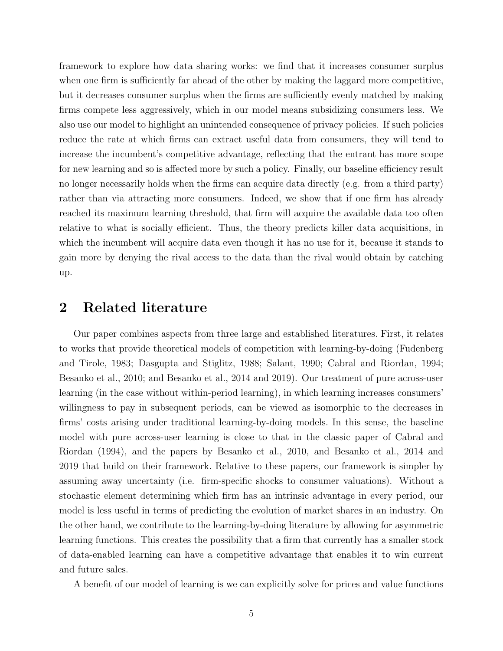framework to explore how data sharing works: we find that it increases consumer surplus when one firm is sufficiently far ahead of the other by making the laggard more competitive, but it decreases consumer surplus when the firms are sufficiently evenly matched by making firms compete less aggressively, which in our model means subsidizing consumers less. We also use our model to highlight an unintended consequence of privacy policies. If such policies reduce the rate at which firms can extract useful data from consumers, they will tend to increase the incumbent's competitive advantage, reflecting that the entrant has more scope for new learning and so is affected more by such a policy. Finally, our baseline efficiency result no longer necessarily holds when the firms can acquire data directly (e.g. from a third party) rather than via attracting more consumers. Indeed, we show that if one firm has already reached its maximum learning threshold, that firm will acquire the available data too often relative to what is socially efficient. Thus, the theory predicts killer data acquisitions, in which the incumbent will acquire data even though it has no use for it, because it stands to gain more by denying the rival access to the data than the rival would obtain by catching up.

# 2 Related literature

Our paper combines aspects from three large and established literatures. First, it relates to works that provide theoretical models of competition with learning-by-doing (Fudenberg and Tirole, 1983; Dasgupta and Stiglitz, 1988; Salant, 1990; Cabral and Riordan, 1994; Besanko et al., 2010; and Besanko et al., 2014 and 2019). Our treatment of pure across-user learning (in the case without within-period learning), in which learning increases consumers' willingness to pay in subsequent periods, can be viewed as isomorphic to the decreases in firms' costs arising under traditional learning-by-doing models. In this sense, the baseline model with pure across-user learning is close to that in the classic paper of Cabral and Riordan (1994), and the papers by Besanko et al., 2010, and Besanko et al., 2014 and 2019 that build on their framework. Relative to these papers, our framework is simpler by assuming away uncertainty (i.e. firm-specific shocks to consumer valuations). Without a stochastic element determining which firm has an intrinsic advantage in every period, our model is less useful in terms of predicting the evolution of market shares in an industry. On the other hand, we contribute to the learning-by-doing literature by allowing for asymmetric learning functions. This creates the possibility that a firm that currently has a smaller stock of data-enabled learning can have a competitive advantage that enables it to win current and future sales.

A benefit of our model of learning is we can explicitly solve for prices and value functions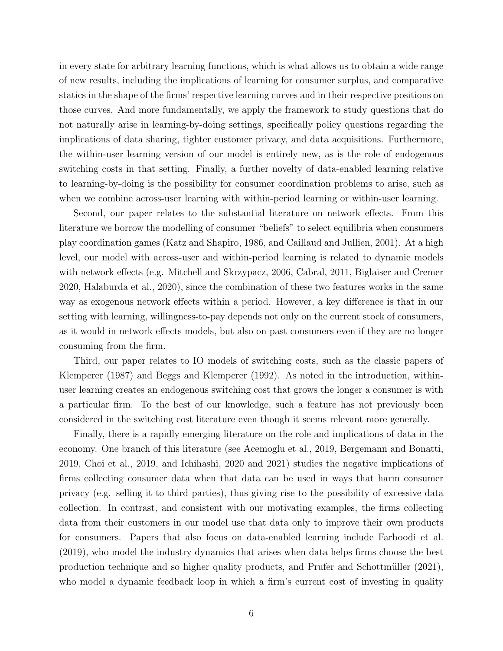in every state for arbitrary learning functions, which is what allows us to obtain a wide range of new results, including the implications of learning for consumer surplus, and comparative statics in the shape of the firms' respective learning curves and in their respective positions on those curves. And more fundamentally, we apply the framework to study questions that do not naturally arise in learning-by-doing settings, specifically policy questions regarding the implications of data sharing, tighter customer privacy, and data acquisitions. Furthermore, the within-user learning version of our model is entirely new, as is the role of endogenous switching costs in that setting. Finally, a further novelty of data-enabled learning relative to learning-by-doing is the possibility for consumer coordination problems to arise, such as when we combine across-user learning with within-period learning or within-user learning.

Second, our paper relates to the substantial literature on network effects. From this literature we borrow the modelling of consumer "beliefs" to select equilibria when consumers play coordination games (Katz and Shapiro, 1986, and Caillaud and Jullien, 2001). At a high level, our model with across-user and within-period learning is related to dynamic models with network effects (e.g. Mitchell and Skrzypacz, 2006, Cabral, 2011, Biglaiser and Cremer 2020, Halaburda et al., 2020), since the combination of these two features works in the same way as exogenous network effects within a period. However, a key difference is that in our setting with learning, willingness-to-pay depends not only on the current stock of consumers, as it would in network effects models, but also on past consumers even if they are no longer consuming from the firm.

Third, our paper relates to IO models of switching costs, such as the classic papers of Klemperer (1987) and Beggs and Klemperer (1992). As noted in the introduction, withinuser learning creates an endogenous switching cost that grows the longer a consumer is with a particular firm. To the best of our knowledge, such a feature has not previously been considered in the switching cost literature even though it seems relevant more generally.

Finally, there is a rapidly emerging literature on the role and implications of data in the economy. One branch of this literature (see Acemoglu et al., 2019, Bergemann and Bonatti, 2019, Choi et al., 2019, and Ichihashi, 2020 and 2021) studies the negative implications of firms collecting consumer data when that data can be used in ways that harm consumer privacy (e.g. selling it to third parties), thus giving rise to the possibility of excessive data collection. In contrast, and consistent with our motivating examples, the firms collecting data from their customers in our model use that data only to improve their own products for consumers. Papers that also focus on data-enabled learning include Farboodi et al. (2019), who model the industry dynamics that arises when data helps firms choose the best production technique and so higher quality products, and Prufer and Schottmüller (2021), who model a dynamic feedback loop in which a firm's current cost of investing in quality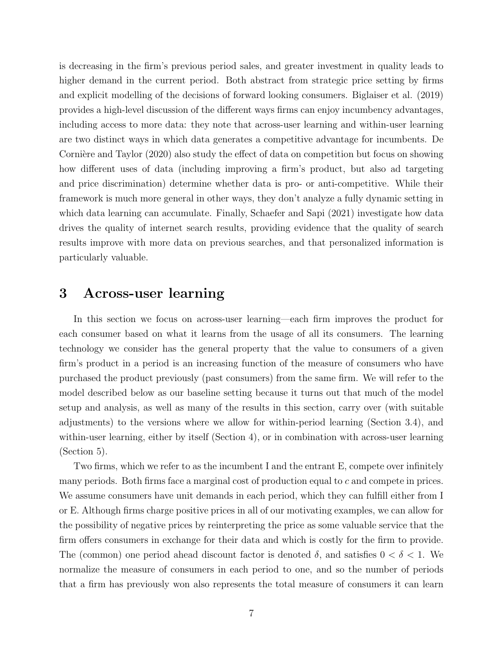is decreasing in the firm's previous period sales, and greater investment in quality leads to higher demand in the current period. Both abstract from strategic price setting by firms and explicit modelling of the decisions of forward looking consumers. Biglaiser et al. (2019) provides a high-level discussion of the different ways firms can enjoy incumbency advantages, including access to more data: they note that across-user learning and within-user learning are two distinct ways in which data generates a competitive advantage for incumbents. De Cornière and Taylor (2020) also study the effect of data on competition but focus on showing how different uses of data (including improving a firm's product, but also ad targeting and price discrimination) determine whether data is pro- or anti-competitive. While their framework is much more general in other ways, they don't analyze a fully dynamic setting in which data learning can accumulate. Finally, Schaefer and Sapi (2021) investigate how data drives the quality of internet search results, providing evidence that the quality of search results improve with more data on previous searches, and that personalized information is particularly valuable.

## <span id="page-6-0"></span>3 Across-user learning

In this section we focus on across-user learning—each firm improves the product for each consumer based on what it learns from the usage of all its consumers. The learning technology we consider has the general property that the value to consumers of a given firm's product in a period is an increasing function of the measure of consumers who have purchased the product previously (past consumers) from the same firm. We will refer to the model described below as our baseline setting because it turns out that much of the model setup and analysis, as well as many of the results in this section, carry over (with suitable adjustments) to the versions where we allow for within-period learning (Section [3.4\)](#page-21-0), and within-user learning, either by itself (Section [4\)](#page-23-0), or in combination with across-user learning (Section [5\)](#page-27-0).

Two firms, which we refer to as the incumbent I and the entrant E, compete over infinitely many periods. Both firms face a marginal cost of production equal to c and compete in prices. We assume consumers have unit demands in each period, which they can fulfill either from I or E. Although firms charge positive prices in all of our motivating examples, we can allow for the possibility of negative prices by reinterpreting the price as some valuable service that the firm offers consumers in exchange for their data and which is costly for the firm to provide. The (common) one period ahead discount factor is denoted  $\delta$ , and satisfies  $0 < \delta < 1$ . We normalize the measure of consumers in each period to one, and so the number of periods that a firm has previously won also represents the total measure of consumers it can learn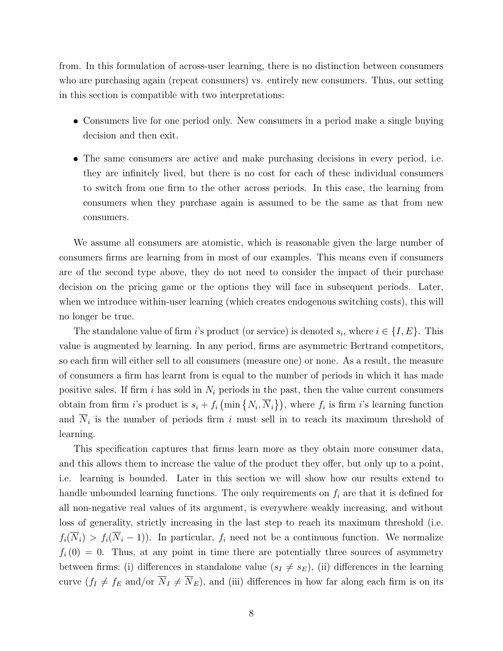from. In this formulation of across-user learning, there is no distinction between consumers who are purchasing again (repeat consumers) vs. entirely new consumers. Thus, our setting in this section is compatible with two interpretations:

- Consumers live for one period only. New consumers in a period make a single buying decision and then exit.
- The same consumers are active and make purchasing decisions in every period, i.e. they are infinitely lived, but there is no cost for each of these individual consumers to switch from one firm to the other across periods. In this case, the learning from consumers when they purchase again is assumed to be the same as that from new consumers.

We assume all consumers are atomistic, which is reasonable given the large number of consumers firms are learning from in most of our examples. This means even if consumers are of the second type above, they do not need to consider the impact of their purchase decision on the pricing game or the options they will face in subsequent periods. Later, when we introduce within-user learning (which creates endogenous switching costs), this will no longer be true.

The standalone value of firm i's product (or service) is denoted  $s_i$ , where  $i \in \{I, E\}$ . This value is augmented by learning. In any period, firms are asymmetric Bertrand competitors, so each firm will either sell to all consumers (measure one) or none. As a result, the measure of consumers a firm has learnt from is equal to the number of periods in which it has made positive sales. If firm i has sold in  $N_i$  periods in the past, then the value current consumers obtain from firm *i*'s product is  $s_i + f_i \left( \min \{ N_i, \overline{N}_i \} \right)$ , where  $f_i$  is firm *i*'s learning function and  $N_i$  is the number of periods firm i must sell in to reach its maximum threshold of learning.

This specification captures that firms learn more as they obtain more consumer data, and this allows them to increase the value of the product they offer, but only up to a point, i.e. learning is bounded. Later in this section we will show how our results extend to handle unbounded learning functions. The only requirements on  $f_i$  are that it is defined for all non-negative real values of its argument, is everywhere weakly increasing, and without loss of generality, strictly increasing in the last step to reach its maximum threshold (i.e.  $f_i(\overline{N}_i) > f_i(\overline{N}_i - 1)$ . In particular,  $f_i$  need not be a continuous function. We normalize  $f_i(0) = 0$ . Thus, at any point in time there are potentially three sources of asymmetry between firms: (i) differences in standalone value  $(s_I \neq s_E)$ , (ii) differences in the learning curve  $(f_I \neq f_E \text{ and/or } \overline{N}_I \neq \overline{N}_E)$ , and (iii) differences in how far along each firm is on its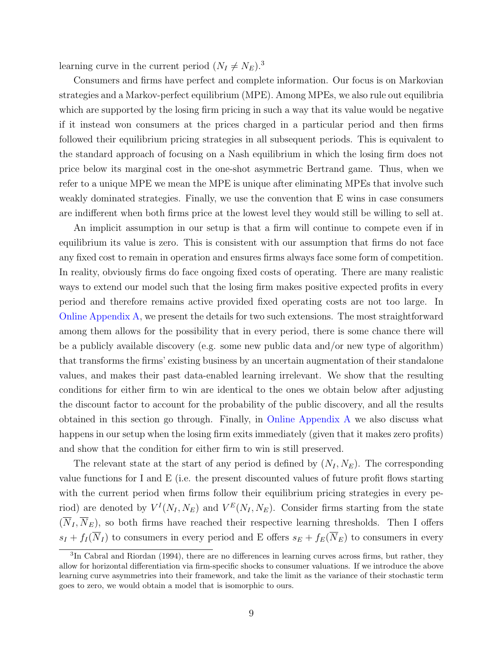learning curve in the current period  $(N_I \neq N_E).$ <sup>[3](#page-0-0)</sup>

Consumers and firms have perfect and complete information. Our focus is on Markovian strategies and a Markov-perfect equilibrium (MPE). Among MPEs, we also rule out equilibria which are supported by the losing firm pricing in such a way that its value would be negative if it instead won consumers at the prices charged in a particular period and then firms followed their equilibrium pricing strategies in all subsequent periods. This is equivalent to the standard approach of focusing on a Nash equilibrium in which the losing firm does not price below its marginal cost in the one-shot asymmetric Bertrand game. Thus, when we refer to a unique MPE we mean the MPE is unique after eliminating MPEs that involve such weakly dominated strategies. Finally, we use the convention that E wins in case consumers are indifferent when both firms price at the lowest level they would still be willing to sell at.

An implicit assumption in our setup is that a firm will continue to compete even if in equilibrium its value is zero. This is consistent with our assumption that firms do not face any fixed cost to remain in operation and ensures firms always face some form of competition. In reality, obviously firms do face ongoing fixed costs of operating. There are many realistic ways to extend our model such that the losing firm makes positive expected profits in every period and therefore remains active provided fixed operating costs are not too large. In [Online Appendix A,](https://app.scholarsite.io/s/bbdeca) we present the details for two such extensions. The most straightforward among them allows for the possibility that in every period, there is some chance there will be a publicly available discovery (e.g. some new public data and/or new type of algorithm) that transforms the firms' existing business by an uncertain augmentation of their standalone values, and makes their past data-enabled learning irrelevant. We show that the resulting conditions for either firm to win are identical to the ones we obtain below after adjusting the discount factor to account for the probability of the public discovery, and all the results obtained in this section go through. Finally, in [Online Appendix A](https://app.scholarsite.io/s/bbdeca) we also discuss what happens in our setup when the losing firm exits immediately (given that it makes zero profits) and show that the condition for either firm to win is still preserved.

The relevant state at the start of any period is defined by  $(N_I, N_E)$ . The corresponding value functions for I and E (i.e. the present discounted values of future profit flows starting with the current period when firms follow their equilibrium pricing strategies in every period) are denoted by  $V^I(N_I, N_E)$  and  $V^E(N_I, N_E)$ . Consider firms starting from the state  $(\overline{N}_I, \overline{N}_E)$ , so both firms have reached their respective learning thresholds. Then I offers  $s_I + f_I(\overline{N}_I)$  to consumers in every period and E offers  $s_E + f_E(\overline{N}_E)$  to consumers in every

<sup>&</sup>lt;sup>3</sup>In Cabral and Riordan (1994), there are no differences in learning curves across firms, but rather, they allow for horizontal differentiation via firm-specific shocks to consumer valuations. If we introduce the above learning curve asymmetries into their framework, and take the limit as the variance of their stochastic term goes to zero, we would obtain a model that is isomorphic to ours.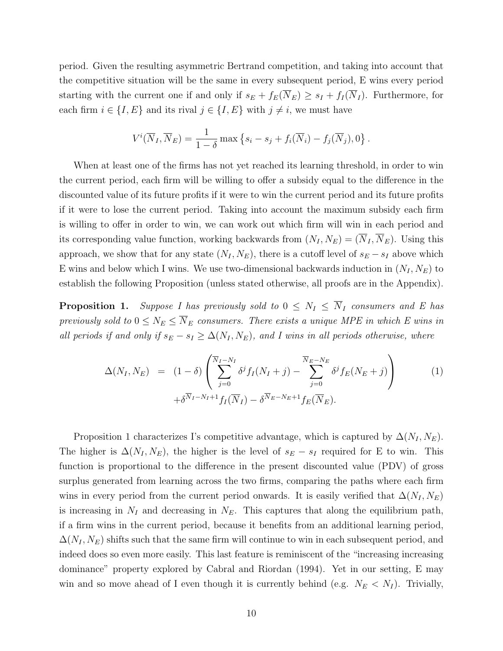period. Given the resulting asymmetric Bertrand competition, and taking into account that the competitive situation will be the same in every subsequent period, E wins every period starting with the current one if and only if  $s_E + f_E(\overline{N}_E) \geq s_I + f_I(\overline{N}_I)$ . Furthermore, for each firm  $i \in \{I, E\}$  and its rival  $j \in \{I, E\}$  with  $j \neq i$ , we must have

$$
V^{i}(\overline{N}_{I}, \overline{N}_{E}) = \frac{1}{1-\delta} \max \left\{ s_{i} - s_{j} + f_{i}(\overline{N}_{i}) - f_{j}(\overline{N}_{j}), 0 \right\}.
$$

When at least one of the firms has not yet reached its learning threshold, in order to win the current period, each firm will be willing to offer a subsidy equal to the difference in the discounted value of its future profits if it were to win the current period and its future profits if it were to lose the current period. Taking into account the maximum subsidy each firm is willing to offer in order to win, we can work out which firm will win in each period and its corresponding value function, working backwards from  $(N_I, N_E) = (\overline{N}_I, \overline{N}_E)$ . Using this approach, we show that for any state  $(N_I, N_E)$ , there is a cutoff level of  $s_E - s_I$  above which E wins and below which I wins. We use two-dimensional backwards induction in  $(N_I, N_E)$  to establish the following Proposition (unless stated otherwise, all proofs are in the Appendix).

<span id="page-9-0"></span>**Proposition 1.** Suppose I has previously sold to  $0 \leq N_I \leq \overline{N}_I$  consumers and E has previously sold to  $0 \le N_E \le \overline{N}_E$  consumers. There exists a unique MPE in which E wins in all periods if and only if  $s_E - s_I \geq \Delta(N_I, N_E)$ , and I wins in all periods otherwise, where

<span id="page-9-1"></span>
$$
\Delta(N_I, N_E) = (1 - \delta) \left( \sum_{j=0}^{\overline{N}_I - N_I} \delta^j f_I(N_I + j) - \sum_{j=0}^{\overline{N}_E - N_E} \delta^j f_E(N_E + j) \right) \tag{1}
$$
\n
$$
+ \delta^{\overline{N}_I - N_I + 1} f_I(\overline{N}_I) - \delta^{\overline{N}_E - N_E + 1} f_E(\overline{N}_E).
$$

Proposition [1](#page-9-0) characterizes I's competitive advantage, which is captured by  $\Delta(N_I, N_E)$ . The higher is  $\Delta(N_I, N_E)$ , the higher is the level of  $s_E - s_I$  required for E to win. This function is proportional to the difference in the present discounted value (PDV) of gross surplus generated from learning across the two firms, comparing the paths where each firm wins in every period from the current period onwards. It is easily verified that  $\Delta(N_I, N_E)$ is increasing in  $N_I$  and decreasing in  $N_E$ . This captures that along the equilibrium path, if a firm wins in the current period, because it benefits from an additional learning period,  $\Delta(N_I, N_E)$  shifts such that the same firm will continue to win in each subsequent period, and indeed does so even more easily. This last feature is reminiscent of the "increasing increasing dominance" property explored by Cabral and Riordan (1994). Yet in our setting, E may win and so move ahead of I even though it is currently behind (e.g.  $N_E \langle N_I \rangle$ . Trivially,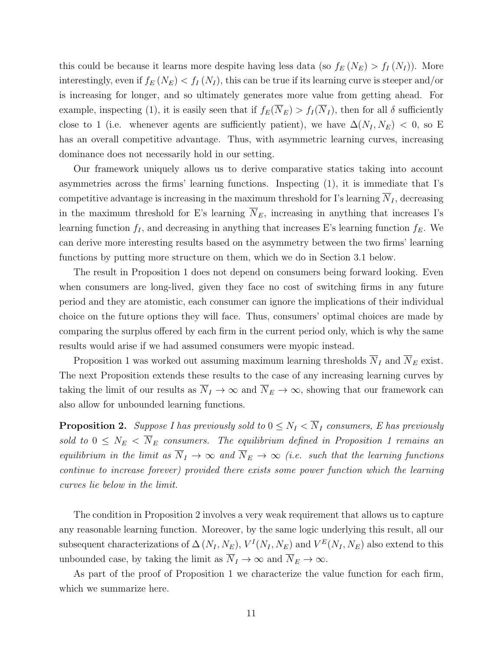this could be because it learns more despite having less data (so  $f_E(N_E) > f_I(N_I)$ ). More interestingly, even if  $f_E(N_E) < f_I(N_I)$ , this can be true if its learning curve is steeper and/or is increasing for longer, and so ultimately generates more value from getting ahead. For example, inspecting [\(1\)](#page-9-1), it is easily seen that if  $f_E(\overline{N}_E) > f_I(\overline{N}_I)$ , then for all  $\delta$  sufficiently close to 1 (i.e. whenever agents are sufficiently patient), we have  $\Delta(N_I, N_E)$  < 0, so E has an overall competitive advantage. Thus, with asymmetric learning curves, increasing dominance does not necessarily hold in our setting.

Our framework uniquely allows us to derive comparative statics taking into account asymmetries across the firms' learning functions. Inspecting [\(1\)](#page-9-1), it is immediate that I's competitive advantage is increasing in the maximum threshold for I's learning  $\overline{N}_I$ , decreasing in the maximum threshold for E's learning  $\overline{N}_E$ , increasing in anything that increases I's learning function  $f_I$ , and decreasing in anything that increases E's learning function  $f_E$ . We can derive more interesting results based on the asymmetry between the two firms' learning functions by putting more structure on them, which we do in Section [3.1](#page-12-0) below.

The result in Proposition [1](#page-9-0) does not depend on consumers being forward looking. Even when consumers are long-lived, given they face no cost of switching firms in any future period and they are atomistic, each consumer can ignore the implications of their individual choice on the future options they will face. Thus, consumers' optimal choices are made by comparing the surplus offered by each firm in the current period only, which is why the same results would arise if we had assumed consumers were myopic instead.

Proposition [1](#page-9-0) was worked out assuming maximum learning thresholds  $\overline{N}_I$  and  $\overline{N}_E$  exist. The next Proposition extends these results to the case of any increasing learning curves by taking the limit of our results as  $\overline{N}_I \to \infty$  and  $\overline{N}_E \to \infty$ , showing that our framework can also allow for unbounded learning functions.

<span id="page-10-0"></span>**Proposition 2.** Suppose I has previously sold to  $0 \leq N_I < \overline{N}_I$  consumers, E has previously sold to  $0 \leq N_E < \overline{N}_E$  consumers. The equilibrium defined in Proposition [1](#page-9-0) remains an equilibrium in the limit as  $\overline{N}_I \rightarrow \infty$  and  $\overline{N}_E \rightarrow \infty$  (i.e. such that the learning functions continue to increase forever) provided there exists some power function which the learning curves lie below in the limit.

The condition in Proposition [2](#page-10-0) involves a very weak requirement that allows us to capture any reasonable learning function. Moreover, by the same logic underlying this result, all our subsequent characterizations of  $\Delta(N_I, N_E)$ ,  $V^I(N_I, N_E)$  and  $V^E(N_I, N_E)$  also extend to this unbounded case, by taking the limit as  $\overline{N}_I \to \infty$  and  $\overline{N}_E \to \infty$ .

As part of the proof of Proposition [1](#page-9-0) we characterize the value function for each firm, which we summarize here.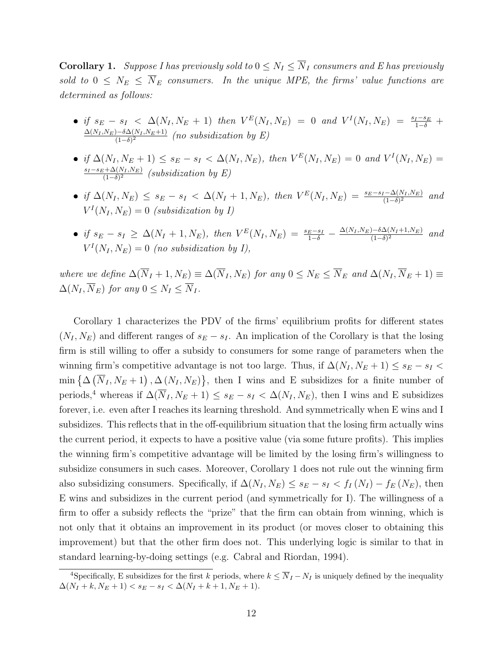<span id="page-11-0"></span>**Corollary 1.** Suppose I has previously sold to  $0 \leq N_I \leq \overline{N}_I$  consumers and E has previously sold to  $0 \leq N_E \leq \overline{N}_E$  consumers. In the unique MPE, the firms' value functions are determined as follows:

- if  $s_E s_I < \Delta(N_I, N_E + 1)$  then  $V^{E}(N_I, N_E) = 0$  and  $V^{I}(N_I, N_E) = \frac{s_I s_E}{1 \delta}$  +  $\Delta(N_I, N_E) - \delta \Delta(N_I, N_E+1)$  $\frac{(-\delta)^{-\partial\Delta(N_I,N_E+1)}}{((1-\delta)^2)}$  (no subsidization by E)
- if  $\Delta(N_I, N_E + 1) \le s_E s_I < \Delta(N_I, N_E)$ , then  $V^E(N_I, N_E) = 0$  and  $V^I(N_I, N_E) =$  $s_I-s_E+\Delta(N_I,N_E)$  $\frac{\partial f_1 + \Delta(N_I, N_E)}{(1-\delta)^2}$  (subsidization by E)
- if  $\Delta(N_I, N_E) \leq s_E s_I < \Delta(N_I + 1, N_E)$ , then  $V^E(N_I, N_E) = \frac{s_E s_I \Delta(N_I, N_E)}{(1 \delta)^2}$  and  $V^I(N_I, N_E) = 0$  (subsidization by I)
- if  $s_E s_I \geq \Delta(N_I + 1, N_E)$ , then  $V^E(N_I, N_E) = \frac{s_E s_I}{1 \delta} \frac{\Delta(N_I, N_E) \delta \Delta(N_I + 1, N_E)}{(1 \delta)^2}$  $\frac{(-\delta)^{-\sigma\Delta(N_I+1,N_E)}}{(-\delta)^2}$  and  $V^I(N_I, N_E) = 0$  (no subsidization by I),

where we define  $\Delta(\overline{N}_I + 1, N_E) \equiv \Delta(\overline{N}_I, N_E)$  for any  $0 \le N_E \le \overline{N}_E$  and  $\Delta(N_I, \overline{N}_E + 1) \equiv$  $\Delta(N_I, \overline{N}_E)$  for any  $0 \leq N_I \leq \overline{N}_I$ .

Corollary [1](#page-11-0) characterizes the PDV of the firms' equilibrium profits for different states  $(N_I, N_E)$  and different ranges of  $s_E - s_I$ . An implication of the Corollary is that the losing firm is still willing to offer a subsidy to consumers for some range of parameters when the winning firm's competitive advantage is not too large. Thus, if  $\Delta(N_I, N_E + 1) \leq s_E - s_I$  $\min\left\{ \Delta\left(\overline{N}_I, N_E+1\right), \Delta\left(N_I, N_E\right) \right\}$ , then I wins and E subsidizes for a finite number of periods,<sup>[4](#page-0-0)</sup> whereas if  $\Delta(\overline{N}_I, N_E + 1) \leq s_E - s_I < \Delta(N_I, N_E)$ , then I wins and E subsidizes forever, i.e. even after I reaches its learning threshold. And symmetrically when E wins and I subsidizes. This reflects that in the off-equilibrium situation that the losing firm actually wins the current period, it expects to have a positive value (via some future profits). This implies the winning firm's competitive advantage will be limited by the losing firm's willingness to subsidize consumers in such cases. Moreover, Corollary [1](#page-11-0) does not rule out the winning firm also subsidizing consumers. Specifically, if  $\Delta(N_I, N_E) \leq s_E - s_I < f_I(N_I) - f_E(N_E)$ , then E wins and subsidizes in the current period (and symmetrically for I). The willingness of a firm to offer a subsidy reflects the "prize" that the firm can obtain from winning, which is not only that it obtains an improvement in its product (or moves closer to obtaining this improvement) but that the other firm does not. This underlying logic is similar to that in standard learning-by-doing settings (e.g. Cabral and Riordan, 1994).

<sup>&</sup>lt;sup>4</sup>Specifically, E subsidizes for the first k periods, where  $k \leq \overline{N}_I - N_I$  is uniquely defined by the inequality  $\Delta(N_I + k, N_E + 1) < s_E - s_I < \Delta(N_I + k + 1, N_E + 1).$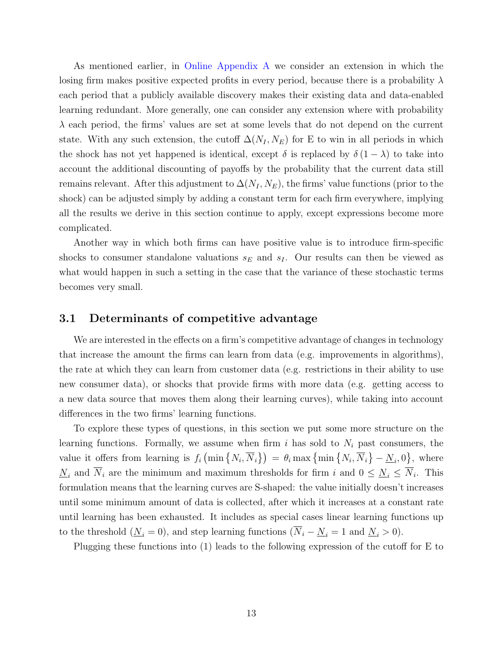As mentioned earlier, in [Online Appendix A](https://app.scholarsite.io/s/bbdeca) we consider an extension in which the losing firm makes positive expected profits in every period, because there is a probability  $\lambda$ each period that a publicly available discovery makes their existing data and data-enabled learning redundant. More generally, one can consider any extension where with probability  $\lambda$  each period, the firms' values are set at some levels that do not depend on the current state. With any such extension, the cutoff  $\Delta(N_I, N_E)$  for E to win in all periods in which the shock has not yet happened is identical, except  $\delta$  is replaced by  $\delta (1 - \lambda)$  to take into account the additional discounting of payoffs by the probability that the current data still remains relevant. After this adjustment to  $\Delta(N_I, N_E)$ , the firms' value functions (prior to the shock) can be adjusted simply by adding a constant term for each firm everywhere, implying all the results we derive in this section continue to apply, except expressions become more complicated.

Another way in which both firms can have positive value is to introduce firm-specific shocks to consumer standalone valuations  $s_E$  and  $s_I$ . Our results can then be viewed as what would happen in such a setting in the case that the variance of these stochastic terms becomes very small.

#### <span id="page-12-0"></span>3.1 Determinants of competitive advantage

We are interested in the effects on a firm's competitive advantage of changes in technology that increase the amount the firms can learn from data (e.g. improvements in algorithms), the rate at which they can learn from customer data (e.g. restrictions in their ability to use new consumer data), or shocks that provide firms with more data (e.g. getting access to a new data source that moves them along their learning curves), while taking into account differences in the two firms' learning functions.

To explore these types of questions, in this section we put some more structure on the learning functions. Formally, we assume when firm i has sold to  $N_i$  past consumers, the value it offers from learning is  $f_i\left(\min\left\{N_i,\overline{N}_i\right\}\right) = \theta_i\max\left\{\min\left\{N_i,\overline{N}_i\right\} - \underline{N}_i,0\right\}$ , where  $N_i$  and  $N_i$  are the minimum and maximum thresholds for firm i and  $0 \le N_i \le N_i$ . This formulation means that the learning curves are S-shaped: the value initially doesn't increases until some minimum amount of data is collected, after which it increases at a constant rate until learning has been exhausted. It includes as special cases linear learning functions up to the threshold ( $\underline{N}_i = 0$ ), and step learning functions ( $\overline{N}_i - \underline{N}_i = 1$  and  $\underline{N}_i > 0$ ).

Plugging these functions into [\(1\)](#page-9-1) leads to the following expression of the cutoff for E to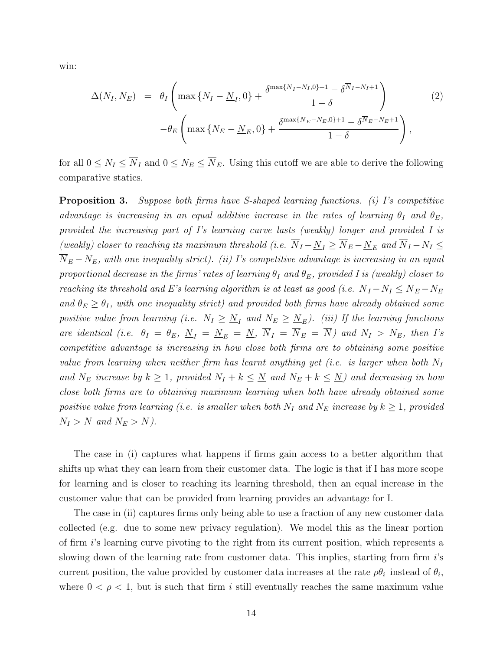win:

<span id="page-13-1"></span>
$$
\Delta(N_I, N_E) = \theta_I \left( \max \{ N_I - \underline{N}_I, 0 \} + \frac{\delta^{\max\{\underline{N}_I - N_I, 0\} + 1} - \delta^{\overline{N}_I - N_I + 1}}{1 - \delta} \right)
$$
\n
$$
- \theta_E \left( \max \{ N_E - \underline{N}_E, 0 \} + \frac{\delta^{\max\{\underline{N}_E - N_E, 0\} + 1} - \delta^{\overline{N}_E - N_E + 1}}{1 - \delta} \right),
$$
\n(2)

for all  $0 \leq N_I \leq \overline{N}_I$  and  $0 \leq N_E \leq \overline{N}_E$ . Using this cutoff we are able to derive the following comparative statics.

<span id="page-13-0"></span>**Proposition 3.** Suppose both firms have S-shaped learning functions. (i) I's competitive advantage is increasing in an equal additive increase in the rates of learning  $\theta_I$  and  $\theta_E$ , provided the increasing part of I's learning curve lasts (weakly) longer and provided I is (weakly) closer to reaching its maximum threshold (i.e.  $\overline{N}_I - \underline{N}_I \ge \overline{N}_E - \underline{N}_E$  and  $\overline{N}_I - N_I \le$  $\overline{N}_{E} - N_{E}$ , with one inequality strict). (ii) I's competitive advantage is increasing in an equal proportional decrease in the firms' rates of learning  $\theta_I$  and  $\theta_E$ , provided I is (weakly) closer to reaching its threshold and E's learning algorithm is at least as good (i.e.  $\overline{N}_I - N_I \leq \overline{N}_E - N_E$ and  $\theta_E \ge \theta_I$ , with one inequality strict) and provided both firms have already obtained some positive value from learning (i.e.  $N_I \geq N_I$  and  $N_E \geq N_E$ ). (iii) If the learning functions are identical (i.e.  $\theta_I = \theta_E$ ,  $\underline{N}_I = \underline{N}_E = \underline{N}$ ,  $\overline{N}_I = \overline{N}_E = \overline{N}$ ) and  $N_I > N_E$ , then I's competitive advantage is increasing in how close both firms are to obtaining some positive value from learning when neither firm has learnt anything yet (i.e. is larger when both  $N_I$ and  $N_E$  increase by  $k \geq 1$ , provided  $N_I + k \leq N_I$  and  $N_E + k \leq N_I$  and decreasing in how close both firms are to obtaining maximum learning when both have already obtained some positive value from learning (i.e. is smaller when both  $N_I$  and  $N_E$  increase by  $k \geq 1$ , provided  $N_I > N$  and  $N_E > N$ ).

The case in (i) captures what happens if firms gain access to a better algorithm that shifts up what they can learn from their customer data. The logic is that if I has more scope for learning and is closer to reaching its learning threshold, then an equal increase in the customer value that can be provided from learning provides an advantage for I.

The case in (ii) captures firms only being able to use a fraction of any new customer data collected (e.g. due to some new privacy regulation). We model this as the linear portion of firm i's learning curve pivoting to the right from its current position, which represents a slowing down of the learning rate from customer data. This implies, starting from firm is current position, the value provided by customer data increases at the rate  $\rho \theta_i$  instead of  $\theta_i$ , where  $0 < \rho < 1$ , but is such that firm i still eventually reaches the same maximum value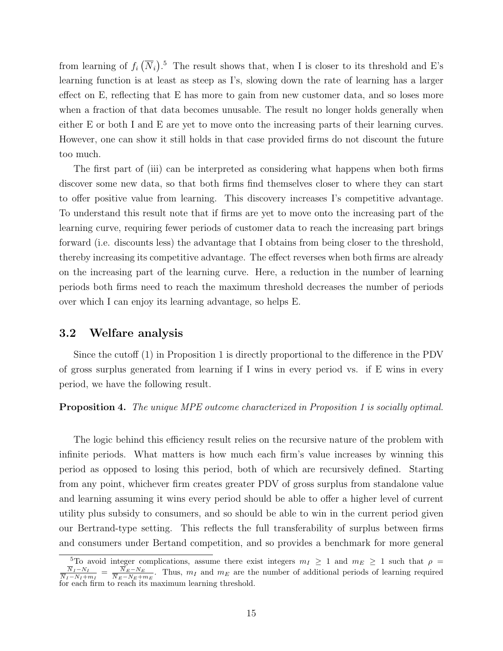from learning of  $f_i(\overline{N}_i)$ .<sup>[5](#page-0-0)</sup> The result shows that, when I is closer to its threshold and E's learning function is at least as steep as I's, slowing down the rate of learning has a larger effect on E, reflecting that E has more to gain from new customer data, and so loses more when a fraction of that data becomes unusable. The result no longer holds generally when either E or both I and E are yet to move onto the increasing parts of their learning curves. However, one can show it still holds in that case provided firms do not discount the future too much.

The first part of (iii) can be interpreted as considering what happens when both firms discover some new data, so that both firms find themselves closer to where they can start to offer positive value from learning. This discovery increases I's competitive advantage. To understand this result note that if firms are yet to move onto the increasing part of the learning curve, requiring fewer periods of customer data to reach the increasing part brings forward (i.e. discounts less) the advantage that I obtains from being closer to the threshold, thereby increasing its competitive advantage. The effect reverses when both firms are already on the increasing part of the learning curve. Here, a reduction in the number of learning periods both firms need to reach the maximum threshold decreases the number of periods over which I can enjoy its learning advantage, so helps E.

#### <span id="page-14-1"></span>3.2 Welfare analysis

Since the cutoff [\(1\)](#page-9-1) in Proposition [1](#page-9-0) is directly proportional to the difference in the PDV of gross surplus generated from learning if I wins in every period vs. if E wins in every period, we have the following result.

#### <span id="page-14-0"></span>Proposition 4. The unique MPE outcome characterized in Proposition [1](#page-9-0) is socially optimal.

The logic behind this efficiency result relies on the recursive nature of the problem with infinite periods. What matters is how much each firm's value increases by winning this period as opposed to losing this period, both of which are recursively defined. Starting from any point, whichever firm creates greater PDV of gross surplus from standalone value and learning assuming it wins every period should be able to offer a higher level of current utility plus subsidy to consumers, and so should be able to win in the current period given our Bertrand-type setting. This reflects the full transferability of surplus between firms and consumers under Bertand competition, and so provides a benchmark for more general

<sup>&</sup>lt;sup>5</sup>To avoid integer complications, assume there exist integers  $m_I \geq 1$  and  $m_E \geq 1$  such that  $\rho =$  $N_I-N_I$  $\frac{N_I-N_I}{N_I-N_I+m_I} = \frac{N_E-N_E}{N_E-N_E+r_I}$  $\frac{N_E - N_E}{N_E - N_E + m_E}$ . Thus,  $m_I$  and  $m_E$  are the number of additional periods of learning required for each firm to reach its maximum learning threshold.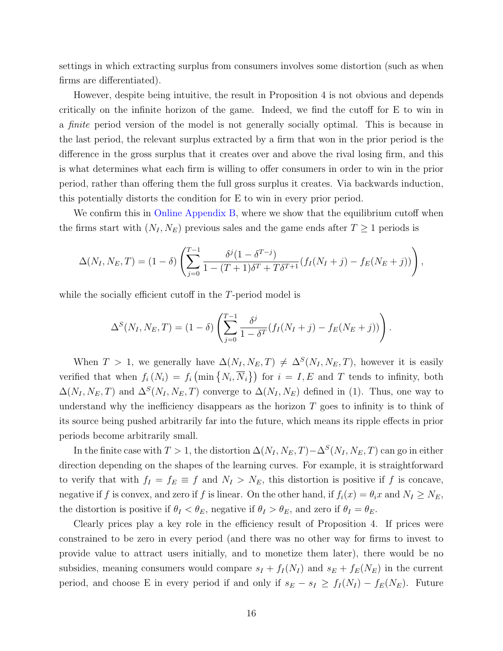settings in which extracting surplus from consumers involves some distortion (such as when firms are differentiated).

However, despite being intuitive, the result in Proposition [4](#page-14-0) is not obvious and depends critically on the infinite horizon of the game. Indeed, we find the cutoff for E to win in a finite period version of the model is not generally socially optimal. This is because in the last period, the relevant surplus extracted by a firm that won in the prior period is the difference in the gross surplus that it creates over and above the rival losing firm, and this is what determines what each firm is willing to offer consumers in order to win in the prior period, rather than offering them the full gross surplus it creates. Via backwards induction, this potentially distorts the condition for E to win in every prior period.

We confirm this in [Online Appendix B,](https://app.scholarsite.io/s/bbdeca) where we show that the equilibrium cutoff when the firms start with  $(N_I, N_E)$  previous sales and the game ends after  $T \geq 1$  periods is

$$
\Delta(N_I, N_E, T) = (1 - \delta) \left( \sum_{j=0}^{T-1} \frac{\delta^j (1 - \delta^{T-j})}{1 - (T+1)\delta^T + T\delta^{T+1}} (f_I(N_I + j) - f_E(N_E + j)) \right),
$$

while the socially efficient cutoff in the T-period model is

$$
\Delta^{S}(N_{I}, N_{E}, T) = (1 - \delta) \left( \sum_{j=0}^{T-1} \frac{\delta^{j}}{1 - \delta^{T}} (f_{I}(N_{I} + j) - f_{E}(N_{E} + j)) \right).
$$

When  $T > 1$ , we generally have  $\Delta(N_I, N_E, T) \neq \Delta^S(N_I, N_E, T)$ , however it is easily verified that when  $f_i(N_i) = f_i(\min\{N_i,\overline{N}_i\})$  for  $i = I, E$  and T tends to infinity, both  $\Delta(N_I, N_E, T)$  and  $\Delta^S(N_I, N_E, T)$  converge to  $\Delta(N_I, N_E)$  defined in [\(1\)](#page-9-1). Thus, one way to understand why the inefficiency disappears as the horizon  $T$  goes to infinity is to think of its source being pushed arbitrarily far into the future, which means its ripple effects in prior periods become arbitrarily small.

In the finite case with  $T > 1$ , the distortion  $\Delta(N_I, N_E, T) - \Delta^S(N_I, N_E, T)$  can go in either direction depending on the shapes of the learning curves. For example, it is straightforward to verify that with  $f_I = f_E \equiv f$  and  $N_I > N_E$ , this distortion is positive if f is concave, negative if f is convex, and zero if f is linear. On the other hand, if  $f_i(x) = \theta_i x$  and  $N_I \ge N_E$ , the distortion is positive if  $\theta_I < \theta_E$ , negative if  $\theta_I > \theta_E$ , and zero if  $\theta_I = \theta_E$ .

Clearly prices play a key role in the efficiency result of Proposition [4.](#page-14-0) If prices were constrained to be zero in every period (and there was no other way for firms to invest to provide value to attract users initially, and to monetize them later), there would be no subsidies, meaning consumers would compare  $s_I + f_I(N_I)$  and  $s_E + f_E(N_E)$  in the current period, and choose E in every period if and only if  $s_E - s_I \ge f_I(N_I) - f_E(N_E)$ . Future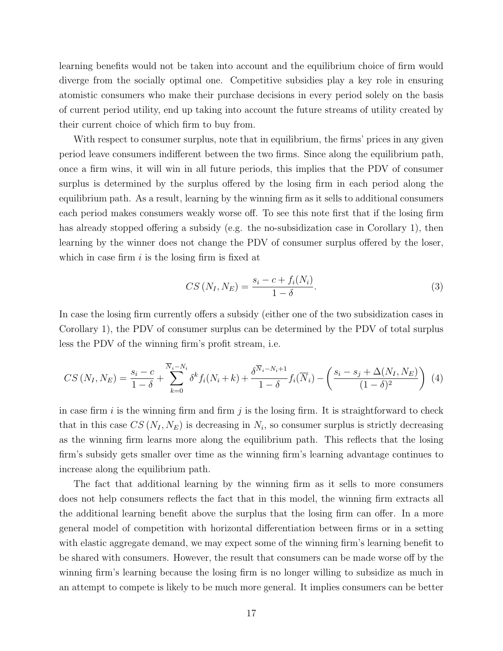learning benefits would not be taken into account and the equilibrium choice of firm would diverge from the socially optimal one. Competitive subsidies play a key role in ensuring atomistic consumers who make their purchase decisions in every period solely on the basis of current period utility, end up taking into account the future streams of utility created by their current choice of which firm to buy from.

With respect to consumer surplus, note that in equilibrium, the firms' prices in any given period leave consumers indifferent between the two firms. Since along the equilibrium path, once a firm wins, it will win in all future periods, this implies that the PDV of consumer surplus is determined by the surplus offered by the losing firm in each period along the equilibrium path. As a result, learning by the winning firm as it sells to additional consumers each period makes consumers weakly worse off. To see this note first that if the losing firm has already stopped offering a subsidy (e.g. the no-subsidization case in Corollary [1\)](#page-11-0), then learning by the winner does not change the PDV of consumer surplus offered by the loser, which in case firm  $i$  is the losing firm is fixed at

<span id="page-16-0"></span>
$$
CS(N_I, N_E) = \frac{s_i - c + f_i(N_i)}{1 - \delta}.
$$
\n
$$
(3)
$$

In case the losing firm currently offers a subsidy (either one of the two subsidization cases in Corollary [1\)](#page-11-0), the PDV of consumer surplus can be determined by the PDV of total surplus less the PDV of the winning firm's profit stream, i.e.

<span id="page-16-1"></span>
$$
CS(N_I, N_E) = \frac{s_i - c}{1 - \delta} + \sum_{k=0}^{\overline{N}_i - N_i} \delta^k f_i(N_i + k) + \frac{\delta^{\overline{N}_i - N_i + 1}}{1 - \delta} f_i(\overline{N}_i) - \left(\frac{s_i - s_j + \Delta(N_I, N_E)}{(1 - \delta)^2}\right) (4)
$$

in case firm  $i$  is the winning firm and firm  $j$  is the losing firm. It is straightforward to check that in this case  $CS(N_I, N_E)$  is decreasing in  $N_i$ , so consumer surplus is strictly decreasing as the winning firm learns more along the equilibrium path. This reflects that the losing firm's subsidy gets smaller over time as the winning firm's learning advantage continues to increase along the equilibrium path.

The fact that additional learning by the winning firm as it sells to more consumers does not help consumers reflects the fact that in this model, the winning firm extracts all the additional learning benefit above the surplus that the losing firm can offer. In a more general model of competition with horizontal differentiation between firms or in a setting with elastic aggregate demand, we may expect some of the winning firm's learning benefit to be shared with consumers. However, the result that consumers can be made worse off by the winning firm's learning because the losing firm is no longer willing to subsidize as much in an attempt to compete is likely to be much more general. It implies consumers can be better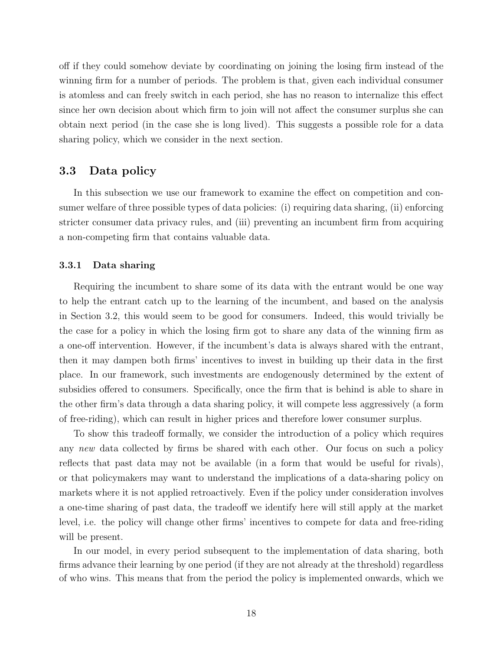off if they could somehow deviate by coordinating on joining the losing firm instead of the winning firm for a number of periods. The problem is that, given each individual consumer is atomless and can freely switch in each period, she has no reason to internalize this effect since her own decision about which firm to join will not affect the consumer surplus she can obtain next period (in the case she is long lived). This suggests a possible role for a data sharing policy, which we consider in the next section.

### <span id="page-17-0"></span>3.3 Data policy

In this subsection we use our framework to examine the effect on competition and consumer welfare of three possible types of data policies: (i) requiring data sharing, (ii) enforcing stricter consumer data privacy rules, and (iii) preventing an incumbent firm from acquiring a non-competing firm that contains valuable data.

#### <span id="page-17-1"></span>3.3.1 Data sharing

Requiring the incumbent to share some of its data with the entrant would be one way to help the entrant catch up to the learning of the incumbent, and based on the analysis in Section [3.2,](#page-14-1) this would seem to be good for consumers. Indeed, this would trivially be the case for a policy in which the losing firm got to share any data of the winning firm as a one-off intervention. However, if the incumbent's data is always shared with the entrant, then it may dampen both firms' incentives to invest in building up their data in the first place. In our framework, such investments are endogenously determined by the extent of subsidies offered to consumers. Specifically, once the firm that is behind is able to share in the other firm's data through a data sharing policy, it will compete less aggressively (a form of free-riding), which can result in higher prices and therefore lower consumer surplus.

To show this tradeoff formally, we consider the introduction of a policy which requires any new data collected by firms be shared with each other. Our focus on such a policy reflects that past data may not be available (in a form that would be useful for rivals), or that policymakers may want to understand the implications of a data-sharing policy on markets where it is not applied retroactively. Even if the policy under consideration involves a one-time sharing of past data, the tradeoff we identify here will still apply at the market level, i.e. the policy will change other firms' incentives to compete for data and free-riding will be present.

In our model, in every period subsequent to the implementation of data sharing, both firms advance their learning by one period (if they are not already at the threshold) regardless of who wins. This means that from the period the policy is implemented onwards, which we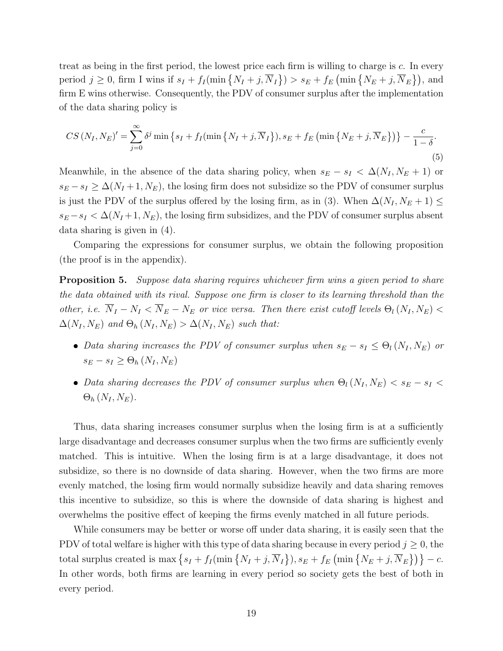treat as being in the first period, the lowest price each firm is willing to charge is c. In every period  $j \geq 0$ , firm I wins if  $s_I + f_I(\min\{N_I + j, \overline{N}_I\}) > s_E + f_E(\min\{N_E + j, \overline{N}_E\})$ , and firm E wins otherwise. Consequently, the PDV of consumer surplus after the implementation of the data sharing policy is

<span id="page-18-0"></span>
$$
CS\left(N_I, N_E\right)' = \sum_{j=0}^{\infty} \delta^j \min\left\{s_I + f_I(\min\left\{N_I + j, \overline{N}_I\right\}), s_E + f_E\left(\min\left\{N_E + j, \overline{N}_E\right\}\right)\right\} - \frac{c}{1-\delta}.
$$
\n<sup>(5)</sup>

Meanwhile, in the absence of the data sharing policy, when  $s_E - s_I < \Delta(N_I, N_E + 1)$  or  $s_E - s_I \geq \Delta(N_I + 1, N_E)$ , the losing firm does not subsidize so the PDV of consumer surplus is just the PDV of the surplus offered by the losing firm, as in [\(3\)](#page-16-0). When  $\Delta(N_I, N_E + 1) \leq$  $s_E - s_I < \Delta(N_I + 1, N_E)$ , the losing firm subsidizes, and the PDV of consumer surplus absent data sharing is given in [\(4\)](#page-16-1).

Comparing the expressions for consumer surplus, we obtain the following proposition (the proof is in the appendix).

<span id="page-18-1"></span>**Proposition 5.** Suppose data sharing requires whichever firm wins a given period to share the data obtained with its rival. Suppose one firm is closer to its learning threshold than the other, i.e.  $\overline{N}_I - N_I \leq \overline{N}_E - N_E$  or vice versa. Then there exist cutoff levels  $\Theta_l(N_I, N_E)$  $\Delta(N_I, N_E)$  and  $\Theta_h(N_I, N_E) > \Delta(N_I, N_E)$  such that:

- Data sharing increases the PDV of consumer surplus when  $s_E s_I \leq \Theta_l(N_I, N_E)$  or  $s_E - s_I \geq \Theta_h(N_I, N_E)$
- Data sharing decreases the PDV of consumer surplus when  $\Theta_l(N_I, N_E) < s_E s_I <$  $\Theta_h(N_I, N_E)$ .

Thus, data sharing increases consumer surplus when the losing firm is at a sufficiently large disadvantage and decreases consumer surplus when the two firms are sufficiently evenly matched. This is intuitive. When the losing firm is at a large disadvantage, it does not subsidize, so there is no downside of data sharing. However, when the two firms are more evenly matched, the losing firm would normally subsidize heavily and data sharing removes this incentive to subsidize, so this is where the downside of data sharing is highest and overwhelms the positive effect of keeping the firms evenly matched in all future periods.

While consumers may be better or worse off under data sharing, it is easily seen that the PDV of total welfare is higher with this type of data sharing because in every period  $j \geq 0$ , the total surplus created is  $\max\left\{s_I + f_I(\min\left\{N_I + j, \overline{N}_I\right\}), s_E + f_E(\min\left\{N_E + j, \overline{N}_E\right\})\right\} - c.$ In other words, both firms are learning in every period so society gets the best of both in every period.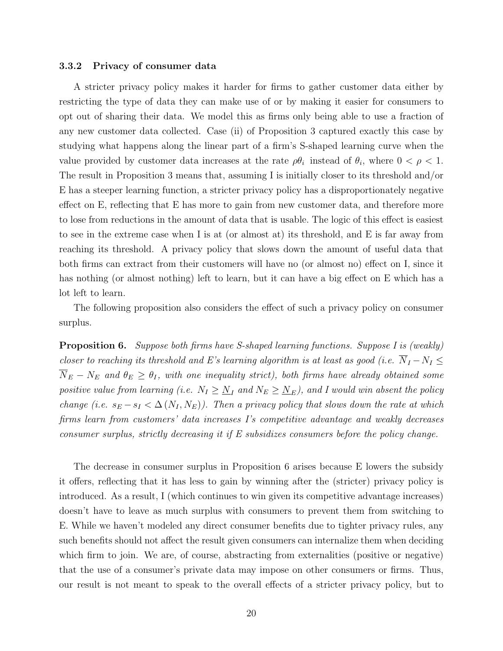#### 3.3.2 Privacy of consumer data

A stricter privacy policy makes it harder for firms to gather customer data either by restricting the type of data they can make use of or by making it easier for consumers to opt out of sharing their data. We model this as firms only being able to use a fraction of any new customer data collected. Case (ii) of Proposition [3](#page-13-0) captured exactly this case by studying what happens along the linear part of a firm's S-shaped learning curve when the value provided by customer data increases at the rate  $\rho \theta_i$  instead of  $\theta_i$ , where  $0 < \rho < 1$ . The result in Proposition [3](#page-13-0) means that, assuming I is initially closer to its threshold and/or E has a steeper learning function, a stricter privacy policy has a disproportionately negative effect on E, reflecting that E has more to gain from new customer data, and therefore more to lose from reductions in the amount of data that is usable. The logic of this effect is easiest to see in the extreme case when I is at (or almost at) its threshold, and E is far away from reaching its threshold. A privacy policy that slows down the amount of useful data that both firms can extract from their customers will have no (or almost no) effect on I, since it has nothing (or almost nothing) left to learn, but it can have a big effect on E which has a lot left to learn.

The following proposition also considers the effect of such a privacy policy on consumer surplus.

<span id="page-19-0"></span>Proposition 6. Suppose both firms have S-shaped learning functions. Suppose I is (weakly) closer to reaching its threshold and E's learning algorithm is at least as good (i.e.  $\overline{N}_I - N_I \leq$  $\overline{N}_{E} - N_{E}$  and  $\theta_{E} \ge \theta_{I}$ , with one inequality strict), both firms have already obtained some positive value from learning (i.e.  $N_I \geq N_I$  and  $N_E \geq N_E$ ), and I would win absent the policy change (i.e.  $s_E - s_I < \Delta(N_I, N_E)$ ). Then a privacy policy that slows down the rate at which firms learn from customers' data increases I's competitive advantage and weakly decreases consumer surplus, strictly decreasing it if E subsidizes consumers before the policy change.

The decrease in consumer surplus in Proposition [6](#page-19-0) arises because E lowers the subsidy it offers, reflecting that it has less to gain by winning after the (stricter) privacy policy is introduced. As a result, I (which continues to win given its competitive advantage increases) doesn't have to leave as much surplus with consumers to prevent them from switching to E. While we haven't modeled any direct consumer benefits due to tighter privacy rules, any such benefits should not affect the result given consumers can internalize them when deciding which firm to join. We are, of course, abstracting from externalities (positive or negative) that the use of a consumer's private data may impose on other consumers or firms. Thus, our result is not meant to speak to the overall effects of a stricter privacy policy, but to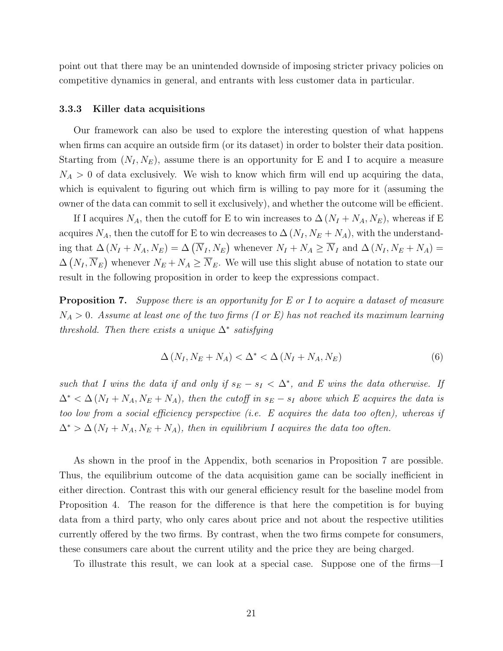point out that there may be an unintended downside of imposing stricter privacy policies on competitive dynamics in general, and entrants with less customer data in particular.

#### 3.3.3 Killer data acquisitions

Our framework can also be used to explore the interesting question of what happens when firms can acquire an outside firm (or its dataset) in order to bolster their data position. Starting from  $(N_I, N_E)$ , assume there is an opportunity for E and I to acquire a measure  $N_A > 0$  of data exclusively. We wish to know which firm will end up acquiring the data, which is equivalent to figuring out which firm is willing to pay more for it (assuming the owner of the data can commit to sell it exclusively), and whether the outcome will be efficient.

If I acquires  $N_A$ , then the cutoff for E to win increases to  $\Delta (N_I + N_A, N_E)$ , whereas if E acquires  $N_A$ , then the cutoff for E to win decreases to  $\Delta (N_I, N_E + N_A)$ , with the understanding that  $\Delta (N_I + N_A, N_E) = \Delta (\overline{N}_I, N_E)$  whenever  $N_I + N_A \ge \overline{N}_I$  and  $\Delta (N_I, N_E + N_A) =$  $\Delta(N_I, \overline{N}_E)$  whenever  $N_E + N_A \ge \overline{N}_E$ . We will use this slight abuse of notation to state our result in the following proposition in order to keep the expressions compact.

<span id="page-20-0"></span>**Proposition 7.** Suppose there is an opportunity for E or I to acquire a dataset of measure  $N_A > 0$ . Assume at least one of the two firms (I or E) has not reached its maximum learning threshold. Then there exists a unique  $\Delta^*$  satisfying

<span id="page-20-1"></span>
$$
\Delta\left(N_I, N_E + N_A\right) < \Delta^* < \Delta\left(N_I + N_A, N_E\right) \tag{6}
$$

such that I wins the data if and only if  $s_E - s_I < \Delta^*$ , and E wins the data otherwise. If  $\Delta^* < \Delta (N_I + N_A, N_E + N_A)$ , then the cutoff in  $s_E - s_I$  above which E acquires the data is too low from a social efficiency perspective (i.e.  $E$  acquires the data too often), whereas if  $\Delta^*$  >  $\Delta(N_I + N_A, N_E + N_A)$ , then in equilibrium I acquires the data too often.

As shown in the proof in the Appendix, both scenarios in Proposition [7](#page-20-0) are possible. Thus, the equilibrium outcome of the data acquisition game can be socially inefficient in either direction. Contrast this with our general efficiency result for the baseline model from Proposition [4.](#page-14-0) The reason for the difference is that here the competition is for buying data from a third party, who only cares about price and not about the respective utilities currently offered by the two firms. By contrast, when the two firms compete for consumers, these consumers care about the current utility and the price they are being charged.

To illustrate this result, we can look at a special case. Suppose one of the firms—I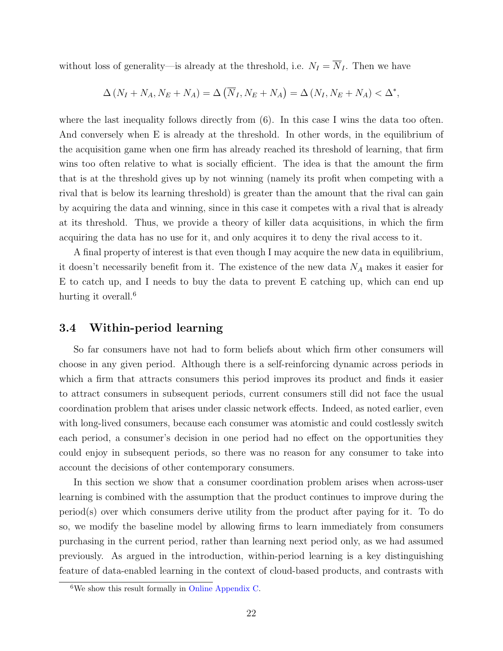without loss of generality—is already at the threshold, i.e.  $N_I = \overline{N}_I$ . Then we have

$$
\Delta (N_I + N_A, N_E + N_A) = \Delta (\overline{N}_I, N_E + N_A) = \Delta (N_I, N_E + N_A) < \Delta^*,
$$

where the last inequality follows directly from  $(6)$ . In this case I wins the data too often. And conversely when E is already at the threshold. In other words, in the equilibrium of the acquisition game when one firm has already reached its threshold of learning, that firm wins too often relative to what is socially efficient. The idea is that the amount the firm that is at the threshold gives up by not winning (namely its profit when competing with a rival that is below its learning threshold) is greater than the amount that the rival can gain by acquiring the data and winning, since in this case it competes with a rival that is already at its threshold. Thus, we provide a theory of killer data acquisitions, in which the firm acquiring the data has no use for it, and only acquires it to deny the rival access to it.

A final property of interest is that even though I may acquire the new data in equilibrium, it doesn't necessarily benefit from it. The existence of the new data  $N_A$  makes it easier for E to catch up, and I needs to buy the data to prevent E catching up, which can end up hurting it overall.<sup>[6](#page-0-0)</sup>

#### <span id="page-21-0"></span>3.4 Within-period learning

So far consumers have not had to form beliefs about which firm other consumers will choose in any given period. Although there is a self-reinforcing dynamic across periods in which a firm that attracts consumers this period improves its product and finds it easier to attract consumers in subsequent periods, current consumers still did not face the usual coordination problem that arises under classic network effects. Indeed, as noted earlier, even with long-lived consumers, because each consumer was atomistic and could costlessly switch each period, a consumer's decision in one period had no effect on the opportunities they could enjoy in subsequent periods, so there was no reason for any consumer to take into account the decisions of other contemporary consumers.

In this section we show that a consumer coordination problem arises when across-user learning is combined with the assumption that the product continues to improve during the period(s) over which consumers derive utility from the product after paying for it. To do so, we modify the baseline model by allowing firms to learn immediately from consumers purchasing in the current period, rather than learning next period only, as we had assumed previously. As argued in the introduction, within-period learning is a key distinguishing feature of data-enabled learning in the context of cloud-based products, and contrasts with

 $6$ We show this result formally in [Online Appendix C.](https://app.scholarsite.io/s/bbdeca)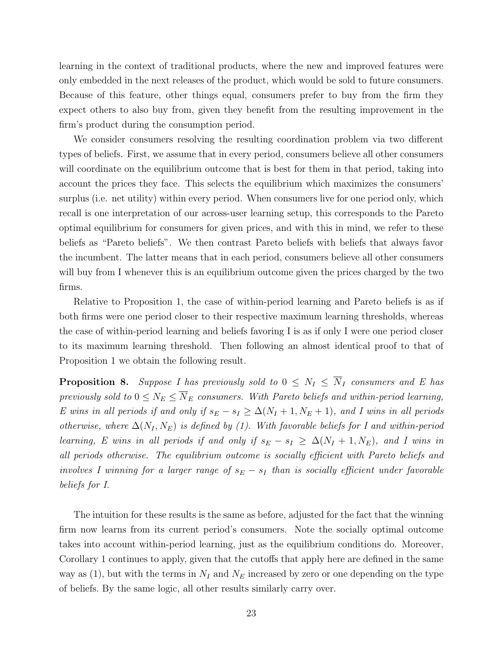learning in the context of traditional products, where the new and improved features were only embedded in the next releases of the product, which would be sold to future consumers. Because of this feature, other things equal, consumers prefer to buy from the firm they expect others to also buy from, given they benefit from the resulting improvement in the firm's product during the consumption period.

We consider consumers resolving the resulting coordination problem via two different types of beliefs. First, we assume that in every period, consumers believe all other consumers will coordinate on the equilibrium outcome that is best for them in that period, taking into account the prices they face. This selects the equilibrium which maximizes the consumers' surplus (i.e. net utility) within every period. When consumers live for one period only, which recall is one interpretation of our across-user learning setup, this corresponds to the Pareto optimal equilibrium for consumers for given prices, and with this in mind, we refer to these beliefs as "Pareto beliefs". We then contrast Pareto beliefs with beliefs that always favor the incumbent. The latter means that in each period, consumers believe all other consumers will buy from I whenever this is an equilibrium outcome given the prices charged by the two firms.

Relative to Proposition [1,](#page-9-0) the case of within-period learning and Pareto beliefs is as if both firms were one period closer to their respective maximum learning thresholds, whereas the case of within-period learning and beliefs favoring I is as if only I were one period closer to its maximum learning threshold. Then following an almost identical proof to that of Proposition [1](#page-9-0) we obtain the following result.

**Proposition 8.** Suppose I has previously sold to  $0 \leq N_I \leq \overline{N}_I$  consumers and E has previously sold to  $0 \le N_E \le \overline{N}_E$  consumers. With Pareto beliefs and within-period learning, E wins in all periods if and only if  $s_E - s_I \geq \Delta(N_I + 1, N_E + 1)$ , and I wins in all periods otherwise, where  $\Delta(N_I, N_E)$  is defined by [\(1\)](#page-9-1). With favorable beliefs for I and within-period learning, E wins in all periods if and only if  $s_E - s_I \geq \Delta(N_I + 1, N_E)$ , and I wins in all periods otherwise. The equilibrium outcome is socially efficient with Pareto beliefs and involves I winning for a larger range of  $s_E - s_I$  than is socially efficient under favorable beliefs for I.

The intuition for these results is the same as before, adjusted for the fact that the winning firm now learns from its current period's consumers. Note the socially optimal outcome takes into account within-period learning, just as the equilibrium conditions do. Moreover, Corollary [1](#page-11-0) continues to apply, given that the cutoffs that apply here are defined in the same way as [\(1\)](#page-9-1), but with the terms in  $N_I$  and  $N_E$  increased by zero or one depending on the type of beliefs. By the same logic, all other results similarly carry over.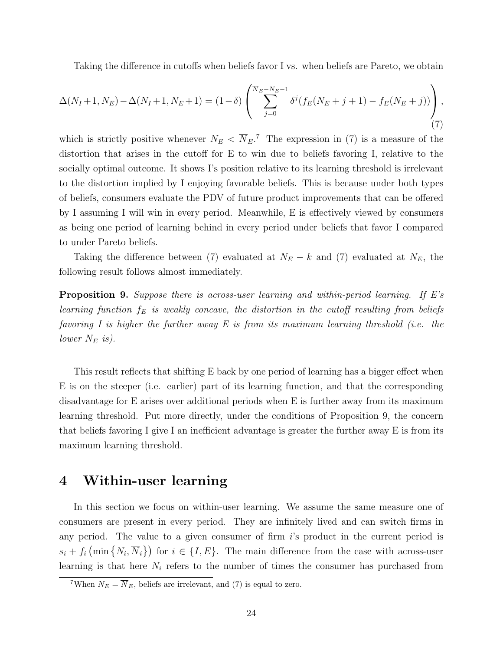Taking the difference in cutoffs when beliefs favor I vs. when beliefs are Pareto, we obtain

<span id="page-23-1"></span>
$$
\Delta(N_I+1, N_E) - \Delta(N_I+1, N_E+1) = (1-\delta) \left( \sum_{j=0}^{\overline{N}_E - N_E - 1} \delta^j (f_E(N_E + j + 1) - f_E(N_E + j)) \right), \tag{7}
$$

which is strictly positive whenever  $N_E < \overline{N}_E$ <sup>[7](#page-0-0)</sup>. The expression in [\(7\)](#page-23-1) is a measure of the distortion that arises in the cutoff for E to win due to beliefs favoring I, relative to the socially optimal outcome. It shows I's position relative to its learning threshold is irrelevant to the distortion implied by I enjoying favorable beliefs. This is because under both types of beliefs, consumers evaluate the PDV of future product improvements that can be offered by I assuming I will win in every period. Meanwhile, E is effectively viewed by consumers as being one period of learning behind in every period under beliefs that favor I compared to under Pareto beliefs.

Taking the difference between [\(7\)](#page-23-1) evaluated at  $N_E - k$  and (7) evaluated at  $N_E$ , the following result follows almost immediately.

<span id="page-23-2"></span>Proposition 9. Suppose there is across-user learning and within-period learning. If E's learning function  $f_E$  is weakly concave, the distortion in the cutoff resulting from beliefs favoring I is higher the further away E is from its maximum learning threshold (i.e. the lower  $N_E$  is).

This result reflects that shifting E back by one period of learning has a bigger effect when E is on the steeper (i.e. earlier) part of its learning function, and that the corresponding disadvantage for E arises over additional periods when E is further away from its maximum learning threshold. Put more directly, under the conditions of Proposition [9,](#page-23-2) the concern that beliefs favoring I give I an inefficient advantage is greater the further away E is from its maximum learning threshold.

# <span id="page-23-0"></span>4 Within-user learning

In this section we focus on within-user learning. We assume the same measure one of consumers are present in every period. They are infinitely lived and can switch firms in any period. The value to a given consumer of firm  $i$ 's product in the current period is  $s_i + f_i \left( \min \{ N_i, \overline{N}_i \} \right)$  for  $i \in \{I, E\}$ . The main difference from the case with across-user learning is that here  $N_i$  refers to the number of times the consumer has purchased from

<sup>&</sup>lt;sup>7</sup>When  $N_E = \overline{N}_E$ , beliefs are irrelevant, and [\(7\)](#page-23-1) is equal to zero.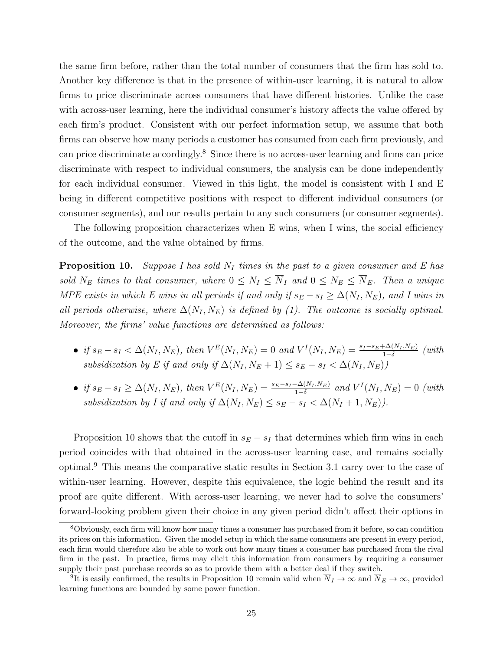the same firm before, rather than the total number of consumers that the firm has sold to. Another key difference is that in the presence of within-user learning, it is natural to allow firms to price discriminate across consumers that have different histories. Unlike the case with across-user learning, here the individual consumer's history affects the value offered by each firm's product. Consistent with our perfect information setup, we assume that both firms can observe how many periods a customer has consumed from each firm previously, and can price discriminate accordingly.[8](#page-0-0) Since there is no across-user learning and firms can price discriminate with respect to individual consumers, the analysis can be done independently for each individual consumer. Viewed in this light, the model is consistent with I and E being in different competitive positions with respect to different individual consumers (or consumer segments), and our results pertain to any such consumers (or consumer segments).

The following proposition characterizes when E wins, when I wins, the social efficiency of the outcome, and the value obtained by firms.

<span id="page-24-0"></span>**Proposition 10.** Suppose I has sold  $N_I$  times in the past to a given consumer and E has sold  $N_E$  times to that consumer, where  $0 \leq N_I \leq \overline{N}_I$  and  $0 \leq N_E \leq \overline{N}_E$ . Then a unique MPE exists in which E wins in all periods if and only if  $s_E - s_I \geq \Delta(N_I, N_E)$ , and I wins in all periods otherwise, where  $\Delta(N_I, N_E)$  is defined by [\(1\)](#page-9-1). The outcome is socially optimal. Moreover, the firms' value functions are determined as follows:

- if  $s_E s_I < \Delta(N_I, N_E)$ , then  $V^E(N_I, N_E) = 0$  and  $V^I(N_I, N_E) = \frac{s_I s_E + \Delta(N_I, N_E)}{1 \delta}$  (with subsidization by E if and only if  $\Delta(N_I, N_E + 1) \leq s_E - s_I < \Delta(N_I, N_E)$ )
- if  $s_E s_I \ge \Delta(N_I, N_E)$ , then  $V^E(N_I, N_E) = \frac{s_E s_I \Delta(N_I, N_E)}{1 \delta}$  and  $V^I(N_I, N_E) = 0$  (with subsidization by I if and only if  $\Delta(N_I, N_E) \leq s_E - s_I < \Delta(N_I + 1, N_E)$ .

Proposition [10](#page-24-0) shows that the cutoff in  $s_E - s_I$  that determines which firm wins in each period coincides with that obtained in the across-user learning case, and remains socially optimal.[9](#page-0-0) This means the comparative static results in Section [3.1](#page-12-0) carry over to the case of within-user learning. However, despite this equivalence, the logic behind the result and its proof are quite different. With across-user learning, we never had to solve the consumers' forward-looking problem given their choice in any given period didn't affect their options in

<sup>8</sup>Obviously, each firm will know how many times a consumer has purchased from it before, so can condition its prices on this information. Given the model setup in which the same consumers are present in every period, each firm would therefore also be able to work out how many times a consumer has purchased from the rival firm in the past. In practice, firms may elicit this information from consumers by requiring a consumer supply their past purchase records so as to provide them with a better deal if they switch.

<sup>&</sup>lt;sup>9</sup>It is easily confirmed, the results in Proposition [10](#page-24-0) remain valid when  $\overline{N}_I \to \infty$  and  $\overline{N}_E \to \infty$ , provided learning functions are bounded by some power function.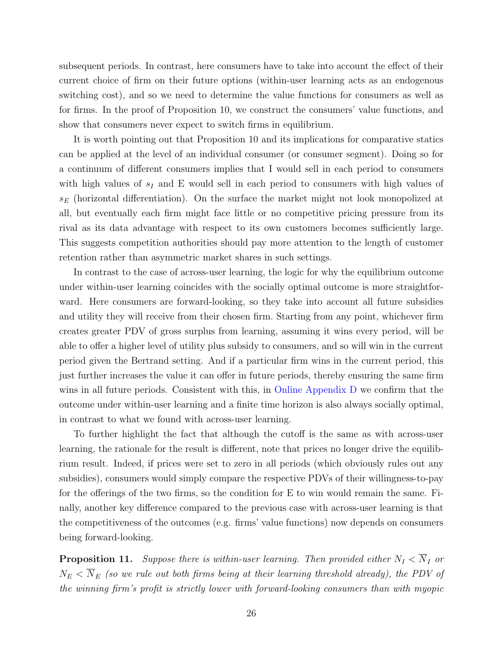subsequent periods. In contrast, here consumers have to take into account the effect of their current choice of firm on their future options (within-user learning acts as an endogenous switching cost), and so we need to determine the value functions for consumers as well as for firms. In the proof of Proposition [10,](#page-24-0) we construct the consumers' value functions, and show that consumers never expect to switch firms in equilibrium.

It is worth pointing out that Proposition [10](#page-24-0) and its implications for comparative statics can be applied at the level of an individual consumer (or consumer segment). Doing so for a continuum of different consumers implies that I would sell in each period to consumers with high values of  $s_I$  and E would sell in each period to consumers with high values of  $s_E$  (horizontal differentiation). On the surface the market might not look monopolized at all, but eventually each firm might face little or no competitive pricing pressure from its rival as its data advantage with respect to its own customers becomes sufficiently large. This suggests competition authorities should pay more attention to the length of customer retention rather than asymmetric market shares in such settings.

In contrast to the case of across-user learning, the logic for why the equilibrium outcome under within-user learning coincides with the socially optimal outcome is more straightforward. Here consumers are forward-looking, so they take into account all future subsidies and utility they will receive from their chosen firm. Starting from any point, whichever firm creates greater PDV of gross surplus from learning, assuming it wins every period, will be able to offer a higher level of utility plus subsidy to consumers, and so will win in the current period given the Bertrand setting. And if a particular firm wins in the current period, this just further increases the value it can offer in future periods, thereby ensuring the same firm wins in all future periods. Consistent with this, in [Online Appendix D](https://app.scholarsite.io/s/bbdeca) we confirm that the outcome under within-user learning and a finite time horizon is also always socially optimal, in contrast to what we found with across-user learning.

To further highlight the fact that although the cutoff is the same as with across-user learning, the rationale for the result is different, note that prices no longer drive the equilibrium result. Indeed, if prices were set to zero in all periods (which obviously rules out any subsidies), consumers would simply compare the respective PDVs of their willingness-to-pay for the offerings of the two firms, so the condition for E to win would remain the same. Finally, another key difference compared to the previous case with across-user learning is that the competitiveness of the outcomes (e.g. firms' value functions) now depends on consumers being forward-looking.

<span id="page-25-0"></span>**Proposition 11.** Suppose there is within-user learning. Then provided either  $N_I < \overline{N}_I$  or  $N_E < \overline{N}_E$  (so we rule out both firms being at their learning threshold already), the PDV of the winning firm's profit is strictly lower with forward-looking consumers than with myopic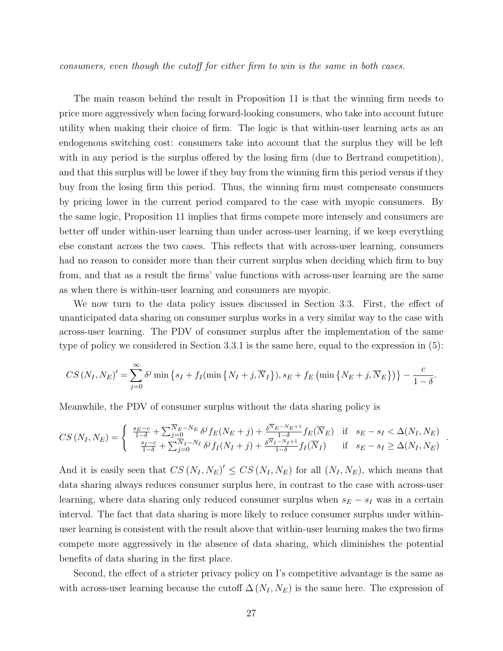consumers, even though the cutoff for either firm to win is the same in both cases.

The main reason behind the result in Proposition [11](#page-25-0) is that the winning firm needs to price more aggressively when facing forward-looking consumers, who take into account future utility when making their choice of firm. The logic is that within-user learning acts as an endogenous switching cost: consumers take into account that the surplus they will be left with in any period is the surplus offered by the losing firm (due to Bertrand competition), and that this surplus will be lower if they buy from the winning firm this period versus if they buy from the losing firm this period. Thus, the winning firm must compensate consumers by pricing lower in the current period compared to the case with myopic consumers. By the same logic, Proposition [11](#page-25-0) implies that firms compete more intensely and consumers are better off under within-user learning than under across-user learning, if we keep everything else constant across the two cases. This reflects that with across-user learning, consumers had no reason to consider more than their current surplus when deciding which firm to buy from, and that as a result the firms' value functions with across-user learning are the same as when there is within-user learning and consumers are myopic.

We now turn to the data policy issues discussed in Section [3.3.](#page-17-0) First, the effect of unanticipated data sharing on consumer surplus works in a very similar way to the case with across-user learning. The PDV of consumer surplus after the implementation of the same type of policy we considered in Section [3.3.1](#page-17-1) is the same here, equal to the expression in [\(5\)](#page-18-0):

$$
CS\left(N_I,N_E\right)'=\sum_{j=0}^{\infty}\delta^j\min\left\{s_I+f_I(\min\left\{N_I+j,\overline{N}_I\right\}),s_E+f_E\left(\min\left\{N_E+j,\overline{N}_E\right\}\right)\right\}-\frac{c}{1-\delta}.
$$

Meanwhile, the PDV of consumer surplus without the data sharing policy is

$$
CS\left(N_{I}, N_{E}\right) = \begin{cases} \frac{s_{E}-c}{1-\delta} + \sum_{j=0}^{\overline{N}_{E}-N_{E}} \delta^{j} f_{E}(N_{E}+j) + \frac{\delta^{\overline{N}_{E}-N_{E}+1}}{1-\delta} f_{E}(\overline{N}_{E}) & \text{if } s_{E}-s_{I} < \Delta(N_{I}, N_{E})\\ \frac{s_{I}-c}{1-\delta} + \sum_{j=0}^{\overline{N}_{I}-N_{I}} \delta^{j} f_{I}(N_{I}+j) + \frac{\delta^{\overline{N}_{I}-N_{I}+1}}{1-\delta} f_{I}(\overline{N}_{I}) & \text{if } s_{E}-s_{I} \ge \Delta(N_{I}, N_{E}) \end{cases}
$$

.

And it is easily seen that  $CS(N_I, N_E)' \leq CS(N_I, N_E)$  for all  $(N_I, N_E)$ , which means that data sharing always reduces consumer surplus here, in contrast to the case with across-user learning, where data sharing only reduced consumer surplus when  $s_E - s_I$  was in a certain interval. The fact that data sharing is more likely to reduce consumer surplus under withinuser learning is consistent with the result above that within-user learning makes the two firms compete more aggressively in the absence of data sharing, which diminishes the potential benefits of data sharing in the first place.

Second, the effect of a stricter privacy policy on I's competitive advantage is the same as with across-user learning because the cutoff  $\Delta (N_I, N_E)$  is the same here. The expression of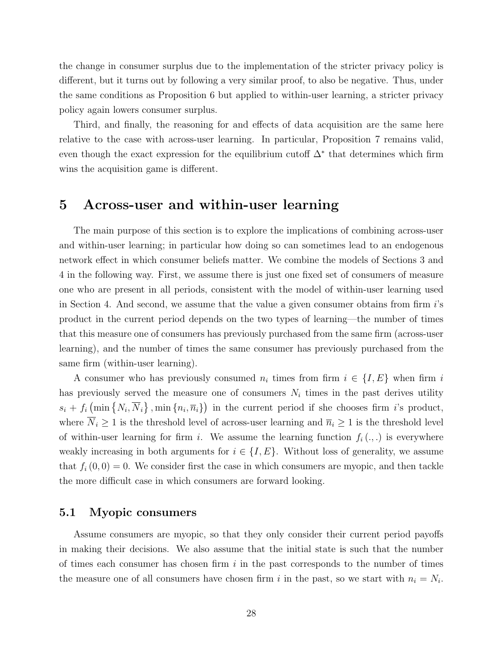the change in consumer surplus due to the implementation of the stricter privacy policy is different, but it turns out by following a very similar proof, to also be negative. Thus, under the same conditions as Proposition [6](#page-19-0) but applied to within-user learning, a stricter privacy policy again lowers consumer surplus.

Third, and finally, the reasoning for and effects of data acquisition are the same here relative to the case with across-user learning. In particular, Proposition [7](#page-20-0) remains valid, even though the exact expression for the equilibrium cutoff  $\Delta^*$  that determines which firm wins the acquisition game is different.

## <span id="page-27-0"></span>5 Across-user and within-user learning

The main purpose of this section is to explore the implications of combining across-user and within-user learning; in particular how doing so can sometimes lead to an endogenous network effect in which consumer beliefs matter. We combine the models of Sections [3](#page-6-0) and [4](#page-23-0) in the following way. First, we assume there is just one fixed set of consumers of measure one who are present in all periods, consistent with the model of within-user learning used in Section [4.](#page-23-0) And second, we assume that the value a given consumer obtains from firm i's product in the current period depends on the two types of learning—the number of times that this measure one of consumers has previously purchased from the same firm (across-user learning), and the number of times the same consumer has previously purchased from the same firm (within-user learning).

A consumer who has previously consumed  $n_i$  times from firm  $i \in \{I, E\}$  when firm i has previously served the measure one of consumers  $N_i$  times in the past derives utility  $s_i + f_i \left( \min \{ N_i, \overline{N}_i \} , \min \{ n_i, \overline{n}_i \} \right)$  in the current period if she chooses firm *i*'s product, where  $\overline{N}_i \geq 1$  is the threshold level of across-user learning and  $\overline{n}_i \geq 1$  is the threshold level of within-user learning for firm i. We assume the learning function  $f_i(.,:)$  is everywhere weakly increasing in both arguments for  $i \in \{I, E\}$ . Without loss of generality, we assume that  $f_i(0,0) = 0$ . We consider first the case in which consumers are myopic, and then tackle the more difficult case in which consumers are forward looking.

### 5.1 Myopic consumers

Assume consumers are myopic, so that they only consider their current period payoffs in making their decisions. We also assume that the initial state is such that the number of times each consumer has chosen firm  $i$  in the past corresponds to the number of times the measure one of all consumers have chosen firm i in the past, so we start with  $n_i = N_i$ .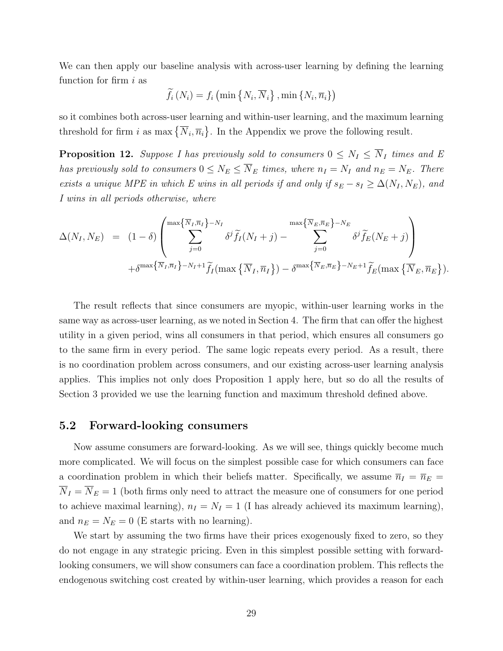We can then apply our baseline analysis with across-user learning by defining the learning function for firm  $i$  as

$$
\widetilde{f}_i\left(N_i\right) = f_i\left(\min\left\{N_i,\overline{N}_i\right\},\min\left\{N_i,\overline{n}_i\right\}\right)
$$

so it combines both across-user learning and within-user learning, and the maximum learning threshold for firm i as max  $\{\overline{N}_i, \overline{n}_i\}$ . In the Appendix we prove the following result.

<span id="page-28-0"></span>**Proposition 12.** Suppose I has previously sold to consumers  $0 \leq N_I \leq \overline{N}_I$  times and E has previously sold to consumers  $0 \le N_E \le \overline{N}_E$  times, where  $n_I = N_I$  and  $n_E = N_E$ . There exists a unique MPE in which E wins in all periods if and only if  $s_E - s_I \geq \Delta(N_I, N_E)$ , and I wins in all periods otherwise, where

$$
\Delta(N_I, N_E) = (1 - \delta) \left( \sum_{j=0}^{\max\{\overline{N}_I, \overline{n}_I\} - N_I} \delta^j \widetilde{f}_I(N_I + j) - \sum_{j=0}^{\max\{\overline{N}_E, \overline{n}_E\} - N_E} \delta^j \widetilde{f}_E(N_E + j) \right) + \delta^{\max\{\overline{N}_I, \overline{n}_I\} - N_I + 1} \widetilde{f}_I(\max\{\overline{N}_I, \overline{n}_I\}) - \delta^{\max\{\overline{N}_E, \overline{n}_E\} - N_E + 1} \widetilde{f}_E(\max\{\overline{N}_E, \overline{n}_E\}).
$$

The result reflects that since consumers are myopic, within-user learning works in the same way as across-user learning, as we noted in Section [4.](#page-23-0) The firm that can offer the highest utility in a given period, wins all consumers in that period, which ensures all consumers go to the same firm in every period. The same logic repeats every period. As a result, there is no coordination problem across consumers, and our existing across-user learning analysis applies. This implies not only does Proposition [1](#page-9-0) apply here, but so do all the results of Section [3](#page-6-0) provided we use the learning function and maximum threshold defined above.

### 5.2 Forward-looking consumers

Now assume consumers are forward-looking. As we will see, things quickly become much more complicated. We will focus on the simplest possible case for which consumers can face a coordination problem in which their beliefs matter. Specifically, we assume  $\overline{n}_I = \overline{n}_E$  =  $\overline{N}_I = \overline{N}_E = 1$  (both firms only need to attract the measure one of consumers for one period to achieve maximal learning),  $n_I = N_I = 1$  (I has already achieved its maximum learning), and  $n_E = N_E = 0$  (E starts with no learning).

We start by assuming the two firms have their prices exogenously fixed to zero, so they do not engage in any strategic pricing. Even in this simplest possible setting with forwardlooking consumers, we will show consumers can face a coordination problem. This reflects the endogenous switching cost created by within-user learning, which provides a reason for each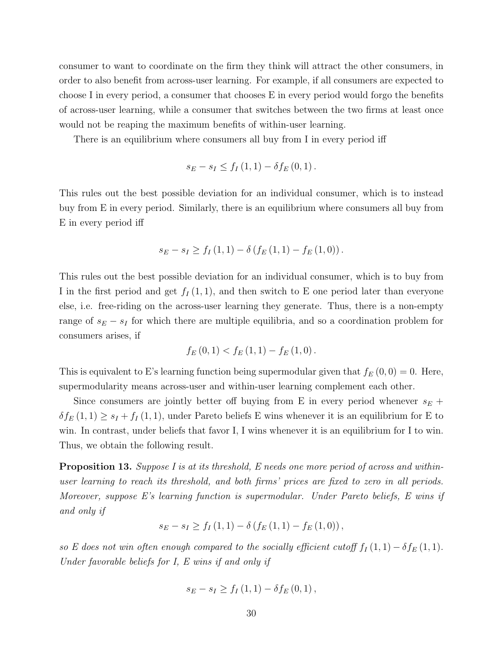consumer to want to coordinate on the firm they think will attract the other consumers, in order to also benefit from across-user learning. For example, if all consumers are expected to choose I in every period, a consumer that chooses E in every period would forgo the benefits of across-user learning, while a consumer that switches between the two firms at least once would not be reaping the maximum benefits of within-user learning.

There is an equilibrium where consumers all buy from I in every period iff

$$
s_E - s_I \leq f_I(1, 1) - \delta f_E(0, 1)
$$
.

This rules out the best possible deviation for an individual consumer, which is to instead buy from E in every period. Similarly, there is an equilibrium where consumers all buy from E in every period iff

$$
s_E - s_I \ge f_I(1, 1) - \delta(f_E(1, 1) - f_E(1, 0)).
$$

This rules out the best possible deviation for an individual consumer, which is to buy from I in the first period and get  $f_I(1,1)$ , and then switch to E one period later than everyone else, i.e. free-riding on the across-user learning they generate. Thus, there is a non-empty range of  $s_E - s_I$  for which there are multiple equilibria, and so a coordination problem for consumers arises, if

$$
f_{E}(0,1) < f_{E}(1,1) - f_{E}(1,0).
$$

This is equivalent to E's learning function being supermodular given that  $f_E(0,0) = 0$ . Here, supermodularity means across-user and within-user learning complement each other.

Since consumers are jointly better off buying from E in every period whenever  $s_E +$  $\delta f_E(1,1) \geq s_I + f_I(1,1)$ , under Pareto beliefs E wins whenever it is an equilibrium for E to win. In contrast, under beliefs that favor I, I wins whenever it is an equilibrium for I to win. Thus, we obtain the following result.

<span id="page-29-0"></span>**Proposition 13.** Suppose I is at its threshold, E needs one more period of across and withinuser learning to reach its threshold, and both firms' prices are fixed to zero in all periods. Moreover, suppose E's learning function is supermodular. Under Pareto beliefs, E wins if and only if

$$
s_E - s_I \ge f_I(1,1) - \delta(f_E(1,1) - f_E(1,0)),
$$

so E does not win often enough compared to the socially efficient cutoff  $f_I(1,1) - \delta f_E(1,1)$ . Under favorable beliefs for I, E wins if and only if

$$
s_E - s_I \geq f_I(1, 1) - \delta f_E(0, 1)
$$
,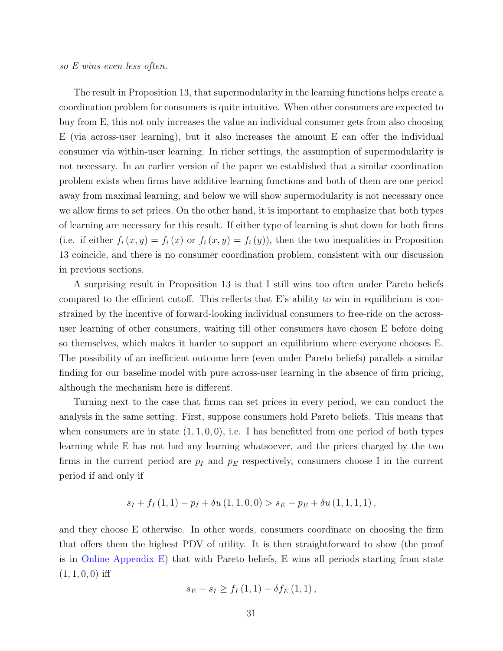#### so E wins even less often.

The result in Proposition [13,](#page-29-0) that supermodularity in the learning functions helps create a coordination problem for consumers is quite intuitive. When other consumers are expected to buy from E, this not only increases the value an individual consumer gets from also choosing E (via across-user learning), but it also increases the amount E can offer the individual consumer via within-user learning. In richer settings, the assumption of supermodularity is not necessary. In an earlier version of the paper we established that a similar coordination problem exists when firms have additive learning functions and both of them are one period away from maximal learning, and below we will show supermodularity is not necessary once we allow firms to set prices. On the other hand, it is important to emphasize that both types of learning are necessary for this result. If either type of learning is shut down for both firms (i.e. if either  $f_i(x, y) = f_i(x)$  or  $f_i(x, y) = f_i(y)$ ), then the two inequalities in Proposition [13](#page-29-0) coincide, and there is no consumer coordination problem, consistent with our discussion in previous sections.

A surprising result in Proposition [13](#page-29-0) is that I still wins too often under Pareto beliefs compared to the efficient cutoff. This reflects that E's ability to win in equilibrium is constrained by the incentive of forward-looking individual consumers to free-ride on the acrossuser learning of other consumers, waiting till other consumers have chosen E before doing so themselves, which makes it harder to support an equilibrium where everyone chooses E. The possibility of an inefficient outcome here (even under Pareto beliefs) parallels a similar finding for our baseline model with pure across-user learning in the absence of firm pricing, although the mechanism here is different.

Turning next to the case that firms can set prices in every period, we can conduct the analysis in the same setting. First, suppose consumers hold Pareto beliefs. This means that when consumers are in state  $(1, 1, 0, 0)$ , i.e. I has benefitted from one period of both types learning while E has not had any learning whatsoever, and the prices charged by the two firms in the current period are  $p_I$  and  $p_E$  respectively, consumers choose I in the current period if and only if

$$
s_I + f_I(1,1) - p_I + \delta u(1,1,0,0) > s_E - p_E + \delta u(1,1,1,1),
$$

and they choose E otherwise. In other words, consumers coordinate on choosing the firm that offers them the highest PDV of utility. It is then straightforward to show (the proof is in [Online Appendix E\)](https://app.scholarsite.io/s/bbdeca) that with Pareto beliefs, E wins all periods starting from state  $(1, 1, 0, 0)$  iff

$$
s_E - s_I \geq f_I(1, 1) - \delta f_E(1, 1)
$$
,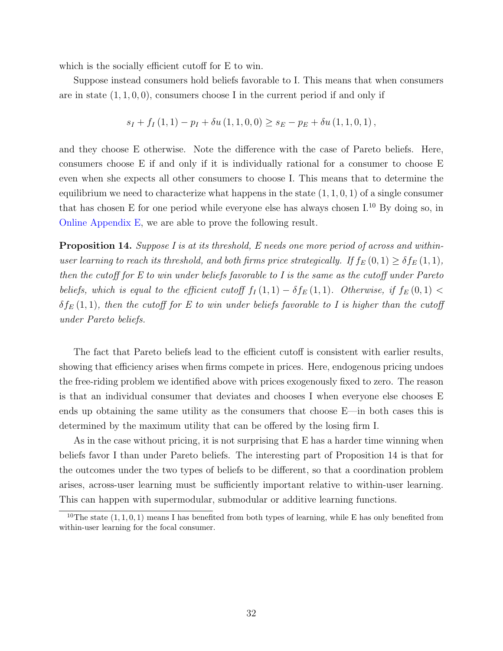which is the socially efficient cutoff for E to win.

Suppose instead consumers hold beliefs favorable to I. This means that when consumers are in state  $(1, 1, 0, 0)$ , consumers choose I in the current period if and only if

$$
s_I + f_I(1,1) - p_I + \delta u(1,1,0,0) \geq s_E - p_E + \delta u(1,1,0,1),
$$

and they choose E otherwise. Note the difference with the case of Pareto beliefs. Here, consumers choose E if and only if it is individually rational for a consumer to choose E even when she expects all other consumers to choose I. This means that to determine the equilibrium we need to characterize what happens in the state  $(1, 1, 0, 1)$  of a single consumer that has chosen E for one period while everyone else has always chosen I.[10](#page-0-0) By doing so, in [Online Appendix E,](https://app.scholarsite.io/s/bbdeca) we are able to prove the following result.

<span id="page-31-0"></span>**Proposition 14.** Suppose I is at its threshold, E needs one more period of across and withinuser learning to reach its threshold, and both firms price strategically. If  $f_E(0,1) \geq \delta f_E(1,1)$ , then the cutoff for E to win under beliefs favorable to I is the same as the cutoff under Pareto beliefs, which is equal to the efficient cutoff  $f_I(1,1) - \delta f_E(1,1)$ . Otherwise, if  $f_E(0,1)$  $\delta f_E(1,1)$ , then the cutoff for E to win under beliefs favorable to I is higher than the cutoff under Pareto beliefs.

The fact that Pareto beliefs lead to the efficient cutoff is consistent with earlier results, showing that efficiency arises when firms compete in prices. Here, endogenous pricing undoes the free-riding problem we identified above with prices exogenously fixed to zero. The reason is that an individual consumer that deviates and chooses I when everyone else chooses E ends up obtaining the same utility as the consumers that choose E—in both cases this is determined by the maximum utility that can be offered by the losing firm I.

As in the case without pricing, it is not surprising that E has a harder time winning when beliefs favor I than under Pareto beliefs. The interesting part of Proposition [14](#page-31-0) is that for the outcomes under the two types of beliefs to be different, so that a coordination problem arises, across-user learning must be sufficiently important relative to within-user learning. This can happen with supermodular, submodular or additive learning functions.

<sup>&</sup>lt;sup>10</sup>The state  $(1, 1, 0, 1)$  means I has benefited from both types of learning, while E has only benefited from within-user learning for the focal consumer.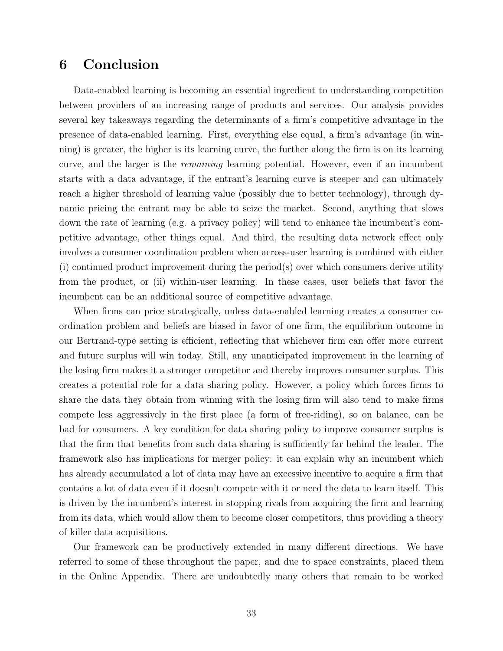# 6 Conclusion

Data-enabled learning is becoming an essential ingredient to understanding competition between providers of an increasing range of products and services. Our analysis provides several key takeaways regarding the determinants of a firm's competitive advantage in the presence of data-enabled learning. First, everything else equal, a firm's advantage (in winning) is greater, the higher is its learning curve, the further along the firm is on its learning curve, and the larger is the remaining learning potential. However, even if an incumbent starts with a data advantage, if the entrant's learning curve is steeper and can ultimately reach a higher threshold of learning value (possibly due to better technology), through dynamic pricing the entrant may be able to seize the market. Second, anything that slows down the rate of learning (e.g. a privacy policy) will tend to enhance the incumbent's competitive advantage, other things equal. And third, the resulting data network effect only involves a consumer coordination problem when across-user learning is combined with either  $(i)$  continued product improvement during the period(s) over which consumers derive utility from the product, or (ii) within-user learning. In these cases, user beliefs that favor the incumbent can be an additional source of competitive advantage.

When firms can price strategically, unless data-enabled learning creates a consumer coordination problem and beliefs are biased in favor of one firm, the equilibrium outcome in our Bertrand-type setting is efficient, reflecting that whichever firm can offer more current and future surplus will win today. Still, any unanticipated improvement in the learning of the losing firm makes it a stronger competitor and thereby improves consumer surplus. This creates a potential role for a data sharing policy. However, a policy which forces firms to share the data they obtain from winning with the losing firm will also tend to make firms compete less aggressively in the first place (a form of free-riding), so on balance, can be bad for consumers. A key condition for data sharing policy to improve consumer surplus is that the firm that benefits from such data sharing is sufficiently far behind the leader. The framework also has implications for merger policy: it can explain why an incumbent which has already accumulated a lot of data may have an excessive incentive to acquire a firm that contains a lot of data even if it doesn't compete with it or need the data to learn itself. This is driven by the incumbent's interest in stopping rivals from acquiring the firm and learning from its data, which would allow them to become closer competitors, thus providing a theory of killer data acquisitions.

Our framework can be productively extended in many different directions. We have referred to some of these throughout the paper, and due to space constraints, placed them in the Online Appendix. There are undoubtedly many others that remain to be worked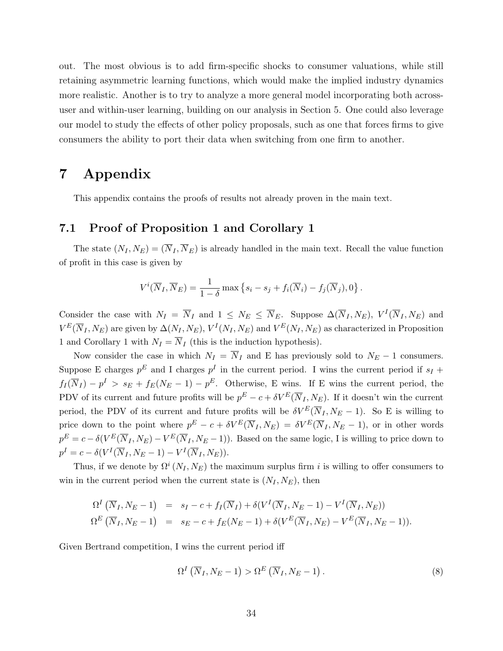out. The most obvious is to add firm-specific shocks to consumer valuations, while still retaining asymmetric learning functions, which would make the implied industry dynamics more realistic. Another is to try to analyze a more general model incorporating both acrossuser and within-user learning, building on our analysis in Section [5.](#page-27-0) One could also leverage our model to study the effects of other policy proposals, such as one that forces firms to give consumers the ability to port their data when switching from one firm to another.

# 7 Appendix

This appendix contains the proofs of results not already proven in the main text.

### 7.1 Proof of Proposition [1](#page-9-0) and Corollary [1](#page-11-0)

The state  $(N_I, N_E) = (\overline{N}_I, \overline{N}_E)$  is already handled in the main text. Recall the value function of profit in this case is given by

$$
V^{i}(\overline{N}_{I}, \overline{N}_{E}) = \frac{1}{1-\delta} \max \left\{ s_{i} - s_{j} + f_{i}(\overline{N}_{i}) - f_{j}(\overline{N}_{j}), 0 \right\}.
$$

Consider the case with  $N_I = \overline{N}_I$  and  $1 \le N_E \le \overline{N}_E$ . Suppose  $\Delta(\overline{N}_I, N_E)$ ,  $V^I(\overline{N}_I, N_E)$  and  $V^{E}(\overline{N}_{I}, N_{E})$  are given by  $\Delta(N_{I}, N_{E}), V^{I}(N_{I}, N_{E})$  and  $V^{E}(N_{I}, N_{E})$  as characterized in Proposition [1](#page-11-0) and Corollary 1 with  $N_I = \overline{N}_I$  (this is the induction hypothesis).

Now consider the case in which  $N_I = \overline{N}_I$  and E has previously sold to  $N_E - 1$  consumers. Suppose E charges  $p^E$  and I charges  $p^I$  in the current period. I wins the current period if  $s_I$  +  $f_I(\overline{N}_I) - p^I > s_E + f_E(N_E - 1) - p^E$ . Otherwise, E wins. If E wins the current period, the PDV of its current and future profits will be  $p^{E} - c + \delta V^{E}(\overline{N}_{I}, N_{E})$ . If it doesn't win the current period, the PDV of its current and future profits will be  $\delta V^{E}(\overline{N}_{I}, N_{E}-1)$ . So E is willing to price down to the point where  $p^{E} - c + \delta V^{E}(\overline{N}_{I}, N_{E}) = \delta V^{E}(\overline{N}_{I}, N_{E} - 1)$ , or in other words  $p^E = c - \delta(V^E(\overline{N}_I, N_E) - V^E(\overline{N}_I, N_E - 1))$ . Based on the same logic, I is willing to price down to  $p^I=c-\delta(V^I(\overline N_I,N_E-1)-V^I(\overline N_I,N_E)).$ 

Thus, if we denote by  $\Omega^{i}(N_I, N_E)$  the maximum surplus firm i is willing to offer consumers to win in the current period when the current state is  $(N_I, N_E)$ , then

$$
\Omega^I(\overline{N}_I, N_E - 1) = s_I - c + f_I(\overline{N}_I) + \delta(V^I(\overline{N}_I, N_E - 1) - V^I(\overline{N}_I, N_E))
$$
  
\n
$$
\Omega^E(\overline{N}_I, N_E - 1) = s_E - c + f_E(N_E - 1) + \delta(V^E(\overline{N}_I, N_E) - V^E(\overline{N}_I, N_E - 1)).
$$

Given Bertrand competition, I wins the current period iff

<span id="page-33-0"></span>
$$
\Omega^I\left(\overline{N}_I, N_E - 1\right) > \Omega^E\left(\overline{N}_I, N_E - 1\right). \tag{8}
$$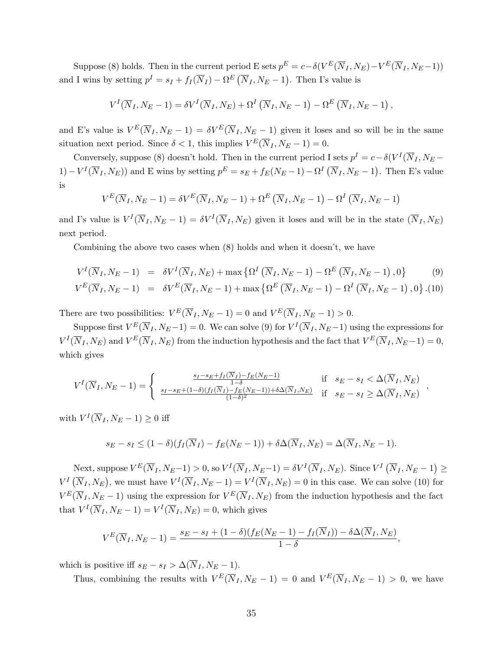Suppose [\(8\)](#page-33-0) holds. Then in the current period E sets  $p^E = c - \delta(V^E(\overline{N}_I, N_E) - V^E(\overline{N}_I, N_E - 1))$ and I wins by setting  $p^I = s_I + f_I(\overline{N}_I) - \Omega^E(\overline{N}_I, N_E - 1)$ . Then I's value is

$$
V^{I}(\overline{N}_{I}, N_{E}-1)=\delta V^{I}(\overline{N}_{I}, N_{E})+\Omega^{I}(\overline{N}_{I}, N_{E}-1)-\Omega^{E}(\overline{N}_{I}, N_{E}-1),
$$

and E's value is  $V^E(\overline{N}_I, N_E-1) = \delta V^E(\overline{N}_I, N_E-1)$  given it loses and so will be in the same situation next period. Since  $\delta < 1$ , this implies  $V^E(\overline{N}_I, N_E - 1) = 0$ .

Conversely, suppose [\(8\)](#page-33-0) doesn't hold. Then in the current period I sets  $p^I = c - \delta(V^I(\overline{N}_I, N_E (1) - V^I(\overline{N}_I, N_E))$  and E wins by setting  $p^E = s_E + f_E(N_E - 1) - \Omega^I(\overline{N}_I, N_E - 1)$ . Then E's value is

$$
V^{E}(\overline{N}_{I}, N_{E}-1) = \delta V^{E}(\overline{N}_{I}, N_{E}-1) + \Omega^{E}(\overline{N}_{I}, N_{E}-1) - \Omega^{I}(\overline{N}_{I}, N_{E}-1)
$$

and I's value is  $V^I(\overline{N}_I, N_E - 1) = \delta V^I(\overline{N}_I, N_E)$  given it loses and will be in the state  $(\overline{N}_I, N_E)$ next period.

Combining the above two cases when [\(8\)](#page-33-0) holds and when it doesn't, we have

<span id="page-34-0"></span>
$$
V^{I}(\overline{N}_{I}, N_{E}-1) = \delta V^{I}(\overline{N}_{I}, N_{E}) + \max \left\{ \Omega^{I}(\overline{N}_{I}, N_{E}-1) - \Omega^{E}(\overline{N}_{I}, N_{E}-1), 0 \right\}
$$
(9)

$$
V^{E}(\overline{N}_{I}, N_{E}-1) = \delta V^{E}(\overline{N}_{I}, N_{E}-1) + \max \left\{ \Omega^{E}(\overline{N}_{I}, N_{E}-1) - \Omega^{I}(\overline{N}_{I}, N_{E}-1) , 0 \right\} . (10)
$$

There are two possibilities:  $V^{E}(\overline{N}_{I}, N_{E}-1) = 0$  and  $V^{E}(\overline{N}_{I}, N_{E}-1) > 0$ .

Suppose first  $V^E(\overline{N}_I, N_E-1) = 0$ . We can solve [\(9\)](#page-34-0) for  $V^I(\overline{N}_I, N_E-1)$  using the expressions for  $V^I(\overline{N}_I, N_E)$  and  $V^E(\overline{N}_I, N_E)$  from the induction hypothesis and the fact that  $V^E(\overline{N}_I, N_E-1) = 0$ , which gives

$$
V^{I}(\overline{N}_{I}, N_{E}-1) = \begin{cases} \frac{s_{I}-s_{E}+f_{I}(\overline{N}_{I})-f_{E}(N_{E}-1)}{1-\delta} & \text{if } s_{E}-s_{I} < \Delta(\overline{N}_{I}, N_{E})\\ \frac{s_{I}-s_{E}+(1-\delta)(f_{I}(\overline{N}_{I})-f_{E}(N_{E}-1))+\delta\Delta(\overline{N}_{I}, N_{E})}{(1-\delta)^{2}} & \text{if } s_{E}-s_{I} \ge \Delta(\overline{N}_{I}, N_{E}) \end{cases}
$$

,

with  $V^I(\overline{N}_I, N_E - 1) \geq 0$  iff

$$
s_E - s_I \le (1 - \delta)(f_I(\overline{N}_I) - f_E(N_E - 1)) + \delta \Delta(\overline{N}_I, N_E) = \Delta(\overline{N}_I, N_E - 1).
$$

Next, suppose  $V^{E}(\overline{N}_{I}, N_{E}-1) > 0$ , so  $V^{I}(\overline{N}_{I}, N_{E}-1) = \delta V^{I}(\overline{N}_{I}, N_{E})$ . Since  $V^{I}(\overline{N}_{I}, N_{E}-1) \ge$  $V^I(\overline{N}_I, N_E)$ , we must have  $V^I(\overline{N}_I, N_E - 1) = V^I(\overline{N}_I, N_E) = 0$  in this case. We can solve [\(10\)](#page-34-0) for  $V^{E}(\overline{N}_{I}, N_{E}-1)$  using the expression for  $V^{E}(\overline{N}_{I}, N_{E})$  from the induction hypothesis and the fact that  $V^I(\overline{N}_I, N_E - 1) = V^I(\overline{N}_I, N_E) = 0$ , which gives

$$
V^{E}(\overline{N}_{I}, N_{E}-1) = \frac{s_{E}-s_{I}+(1-\delta)(f_{E}(N_{E}-1)-f_{I}(\overline{N}_{I}))-\delta\Delta(\overline{N}_{I}, N_{E})}{1-\delta},
$$

which is positive iff  $s_E - s_I > \Delta(\overline{N}_I, N_E - 1)$ .

Thus, combining the results with  $V^{E}(\overline{N}_I, N_E-1) = 0$  and  $V^{E}(\overline{N}_I, N_E-1) > 0$ , we have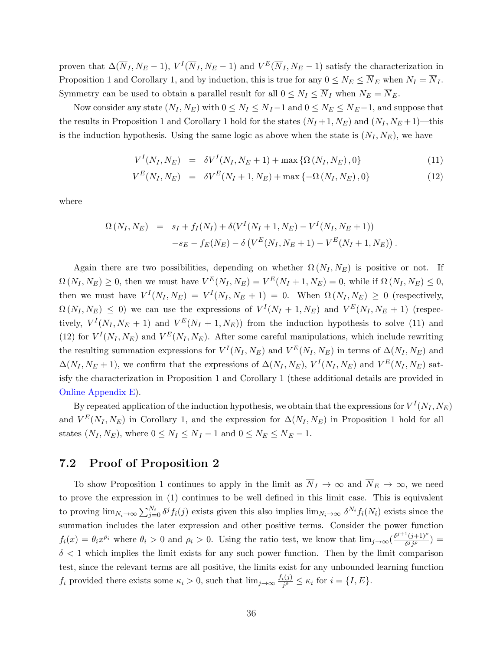proven that  $\Delta(\overline{N}_I, N_E-1)$ ,  $V^I(\overline{N}_I, N_E-1)$  and  $V^E(\overline{N}_I, N_E-1)$  satisfy the characterization in Proposition [1](#page-9-0) and Corollary [1,](#page-11-0) and by induction, this is true for any  $0 \le N_E \le \overline{N}_E$  when  $N_I = \overline{N}_I$ . Symmetry can be used to obtain a parallel result for all  $0 \le N_I \le \overline{N}_I$  when  $N_E = \overline{N}_E$ .

Now consider any state  $(N_I, N_E)$  with  $0 \le N_I \le \overline{N}_I - 1$  and  $0 \le N_E \le \overline{N}_E - 1$ , and suppose that the results in Proposition [1](#page-11-0) and Corollary 1 hold for the states  $(N_I + 1, N_E)$  and  $(N_I, N_E + 1)$ —this is the induction hypothesis. Using the same logic as above when the state is  $(N_I, N_E)$ , we have

<span id="page-35-0"></span>
$$
V^{I}(N_{I}, N_{E}) = \delta V^{I}(N_{I}, N_{E} + 1) + \max \{ \Omega(N_{I}, N_{E}), 0 \}
$$
\n(11)

$$
V^{E}(N_{I}, N_{E}) = \delta V^{E}(N_{I} + 1, N_{E}) + \max\{-\Omega(N_{I}, N_{E}), 0\}
$$
\n(12)

where

$$
\Omega\left(N_I, N_E\right) = s_I + f_I(N_I) + \delta(V^I(N_I + 1, N_E) - V^I(N_I, N_E + 1))
$$
  

$$
-s_E - f_E(N_E) - \delta\left(V^E(N_I, N_E + 1) - V^E(N_I + 1, N_E)\right).
$$

Again there are two possibilities, depending on whether  $\Omega(N_I, N_E)$  is positive or not. If  $\Omega(N_I, N_E) \geq 0$ , then we must have  $V^E(N_I, N_E) = V^E(N_I + 1, N_E) = 0$ , while if  $\Omega(N_I, N_E) \leq 0$ , then we must have  $V^I(N_I, N_E) = V^I(N_I, N_E + 1) = 0$ . When  $\Omega(N_I, N_E) \geq 0$  (respectively,  $\Omega(N_I, N_E) \leq 0$ ) we can use the expressions of  $V^I(N_I + 1, N_E)$  and  $V^E(N_I, N_E + 1)$  (respectively,  $V^I(N_I, N_E + 1)$  and  $V^E(N_I + 1, N_E)$  from the induction hypothesis to solve [\(11\)](#page-35-0) and [\(12\)](#page-35-0) for  $V^I(N_I, N_E)$  and  $V^E(N_I, N_E)$ . After some careful manipulations, which include rewriting the resulting summation expressions for  $V^I(N_I, N_E)$  and  $V^E(N_I, N_E)$  in terms of  $\Delta(N_I, N_E)$  and  $\Delta(N_I, N_E + 1)$ , we confirm that the expressions of  $\Delta(N_I, N_E)$ ,  $V^I(N_I, N_E)$  and  $V^E(N_I, N_E)$  satisfy the characterization in Proposition [1](#page-9-0) and Corollary [1](#page-11-0) (these additional details are provided in [Online Appendix E\)](https://app.scholarsite.io/s/bbdeca).

By repeated application of the induction hypothesis, we obtain that the expressions for  $V^I(N_I, N_E)$ and  $V^{E}(N_I, N_E)$  in Corollary [1,](#page-9-0) and the expression for  $\Delta(N_I, N_E)$  in Proposition [1](#page-9-0) hold for all states  $(N_I, N_E)$ , where  $0 \leq N_I \leq \overline{N}_I - 1$  and  $0 \leq N_E \leq \overline{N}_E - 1$ .

### 7.2 Proof of Proposition [2](#page-10-0)

To show Proposition [1](#page-9-0) continues to apply in the limit as  $\overline{N}_I \to \infty$  and  $\overline{N}_E \to \infty$ , we need to prove the expression in [\(1\)](#page-9-1) continues to be well defined in this limit case. This is equivalent to proving  $\lim_{N_i\to\infty}\sum_{j=0}^{N_i}\delta^j f_i(j)$  exists given this also implies  $\lim_{N_i\to\infty}\delta^{N_i} f_i(N_i)$  exists since the summation includes the later expression and other positive terms. Consider the power function  $f_i(x) = \theta_i x^{\rho_i}$  where  $\theta_i > 0$  and  $\rho_i > 0$ . Using the ratio test, we know that  $\lim_{j\to\infty} (\frac{\delta^{j+1}(j+1)^{\rho_j}}{\delta^j j!^{\rho_j}})$  $\frac{((j+1)^r)}{\delta^j j^\rho}$ ) =  $\delta$  < 1 which implies the limit exists for any such power function. Then by the limit comparison test, since the relevant terms are all positive, the limits exist for any unbounded learning function  $f_i$  provided there exists some  $\kappa_i > 0$ , such that  $\lim_{j\to\infty} \frac{f_i(j)}{j\rho}$  $\frac{i(j)}{j^{\rho}} \leq \kappa_i$  for  $i = \{I, E\}.$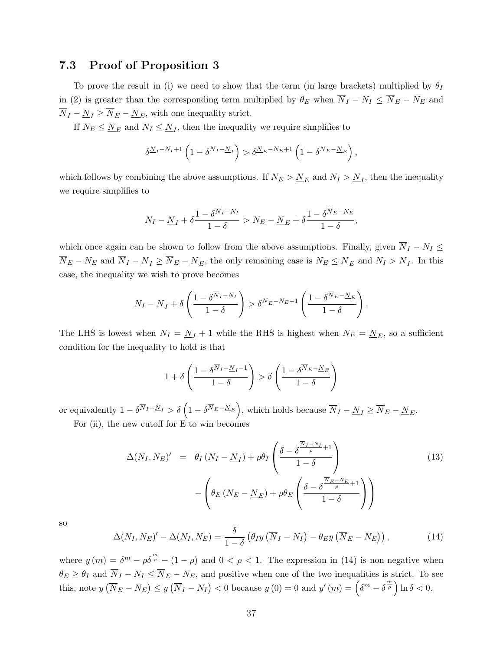## 7.3 Proof of Proposition [3](#page-13-0)

To prove the result in (i) we need to show that the term (in large brackets) multiplied by  $\theta_I$ in [\(2\)](#page-13-1) is greater than the corresponding term multiplied by  $\theta_E$  when  $\overline{N}_I - N_I \leq \overline{N}_E - N_E$  and  $\overline{N}_I-\underline{N}_I\geq \overline{N}_E-\underline{N}_E,$  with one inequality strict.

If  $N_E \leq N_E$  and  $N_I \leq N_I$ , then the inequality we require simplifies to

$$
\delta^{\underline{N}_I - N_I + 1} \left( 1 - \delta^{\overline{N}_I - \underline{N}_I} \right) > \delta^{\underline{N}_E - N_E + 1} \left( 1 - \delta^{\overline{N}_E - \underline{N}_E} \right),
$$

which follows by combining the above assumptions. If  $N_E > N_E$  and  $N_I > N_I$ , then the inequality we require simplifies to

$$
N_I - \underline{N}_I + \delta \frac{1 - \delta^{\overline{N}_I - N_I}}{1 - \delta} > N_E - \underline{N}_E + \delta \frac{1 - \delta^{\overline{N}_E - N_E}}{1 - \delta},
$$

which once again can be shown to follow from the above assumptions. Finally, given  $\overline{N}_I - N_I \leq$  $\overline{N}_E - N_E$  and  $\overline{N}_I - \underline{N}_I \ge \overline{N}_E - \underline{N}_E$ , the only remaining case is  $N_E \le \underline{N}_E$  and  $N_I > \underline{N}_I$ . In this case, the inequality we wish to prove becomes

$$
N_I - \underline{N}_I + \delta \left( \frac{1 - \delta^{\overline{N}_I - N_I}}{1 - \delta} \right) > \delta^{\underline{N}_E - N_E + 1} \left( \frac{1 - \delta^{\overline{N}_E - \underline{N}_E}}{1 - \delta} \right).
$$

The LHS is lowest when  $N_I = \underline{N}_I + 1$  while the RHS is highest when  $N_E = \underline{N}_E$ , so a sufficient condition for the inequality to hold is that

$$
1 + \delta \left( \frac{1 - \delta^{\overline{N}_I - \underline{N}_I - 1}}{1 - \delta} \right) > \delta \left( \frac{1 - \delta^{\overline{N}_E - \underline{N}_E}}{1 - \delta} \right)
$$

or equivalently  $1 - \delta^{\overline{N}_I - \underline{N}_I} > \delta\left(1 - \delta^{\overline{N}_E - \underline{N}_E}\right)$ , which holds because  $\overline{N}_I - \underline{N}_I \ge \overline{N}_E - \underline{N}_E$ . For (ii), the new cutoff for E to win becomes

<span id="page-36-1"></span>
$$
\Delta(N_I, N_E)' = \theta_I (N_I - \underline{N}_I) + \rho \theta_I \left( \frac{\delta - \delta^{\frac{\overline{N}_I - N_I}{\rho} + 1}}{1 - \delta} \right)
$$
(13)  

$$
- \left( \theta_E (N_E - \underline{N}_E) + \rho \theta_E \left( \frac{\delta - \delta^{\frac{\overline{N}_E - N_E}{\rho} + 1}}{1 - \delta} \right) \right)
$$

so

<span id="page-36-0"></span>
$$
\Delta(N_I, N_E)' - \Delta(N_I, N_E) = \frac{\delta}{1 - \delta} \left( \theta_I y \left( \overline{N}_I - N_I \right) - \theta_E y \left( \overline{N}_E - N_E \right) \right), \tag{14}
$$

where  $y(m) = \delta^m - \rho \delta^{\frac{m}{\rho}} - (1 - \rho)$  and  $0 < \rho < 1$ . The expression in [\(14\)](#page-36-0) is non-negative when  $\theta_E \ge \theta_I$  and  $\overline{N}_I - N_I \le \overline{N}_E - N_E$ , and positive when one of the two inequalities is strict. To see this, note  $y(\overline{N}_E - N_E) \le y(\overline{N}_I - N_I) < 0$  because  $y(0) = 0$  and  $y'(m) = \left(\delta^m - \delta^{\frac{m}{\rho}}\right) \ln \delta < 0$ .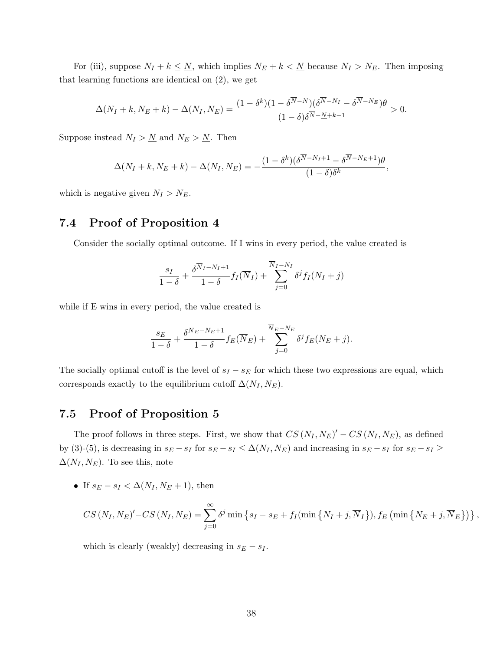For (iii), suppose  $N_I + k \leq N$ , which implies  $N_E + k < N$  because  $N_I > N_E$ . Then imposing that learning functions are identical on [\(2\)](#page-13-1), we get

$$
\Delta(N_I + k, N_E + k) - \Delta(N_I, N_E) = \frac{(1 - \delta^k)(1 - \delta^{\overline{N} - \underline{N}})(\delta^{\overline{N} - N_I} - \delta^{\overline{N} - N_E})\theta}{(1 - \delta)\delta^{\overline{N} - \underline{N} + k - 1}} > 0.
$$

Suppose instead  $N_I > N$  and  $N_E > N$ . Then

$$
\Delta(N_I + k, N_E + k) - \Delta(N_I, N_E) = -\frac{(1 - \delta^k)(\delta^{N - N_I + 1} - \delta^{N - N_E + 1})\theta}{(1 - \delta)\delta^k},
$$

which is negative given  $N_I > N_E$ .

## 7.4 Proof of Proposition [4](#page-14-0)

Consider the socially optimal outcome. If I wins in every period, the value created is

$$
\frac{s_I}{1-\delta} + \frac{\delta^{\overline{N}_I - N_I + 1}}{1-\delta} f_I(\overline{N}_I) + \sum_{j=0}^{\overline{N}_I - N_I} \delta^j f_I(N_I + j)
$$

while if E wins in every period, the value created is

$$
\frac{s_E}{1-\delta} + \frac{\delta^{\overline{N}_E - N_E + 1}}{1-\delta} f_E(\overline{N}_E) + \sum_{j=0}^{\overline{N}_E - N_E} \delta^j f_E(N_E + j).
$$

The socially optimal cutoff is the level of  $s_I - s_E$  for which these two expressions are equal, which corresponds exactly to the equilibrium cutoff  $\Delta(N_I, N_E)$ .

## 7.5 Proof of Proposition [5](#page-18-1)

The proof follows in three steps. First, we show that  $CS(N_I, N_E)' - CS(N_I, N_E)$ , as defined by [\(3\)](#page-16-0)-[\(5\)](#page-18-0), is decreasing in  $s_E - s_I$  for  $s_E - s_I \leq \Delta(N_I, N_E)$  and increasing in  $s_E - s_I$  for  $s_E - s_I \geq$  $\Delta(N_I, N_E)$ . To see this, note

If  $s_E - s_I < \Delta(N_I, N_E + 1)$ , then

$$
CS(N_I, N_E)' - CS(N_I, N_E) = \sum_{j=0}^{\infty} \delta^j \min \left\{ s_I - s_E + f_I(\min \left\{ N_I + j, \overline{N}_I \right\}), f_E(\min \left\{ N_E + j, \overline{N}_E \right\}) \right\},\,
$$

which is clearly (weakly) decreasing in  $s_E - s_I$ .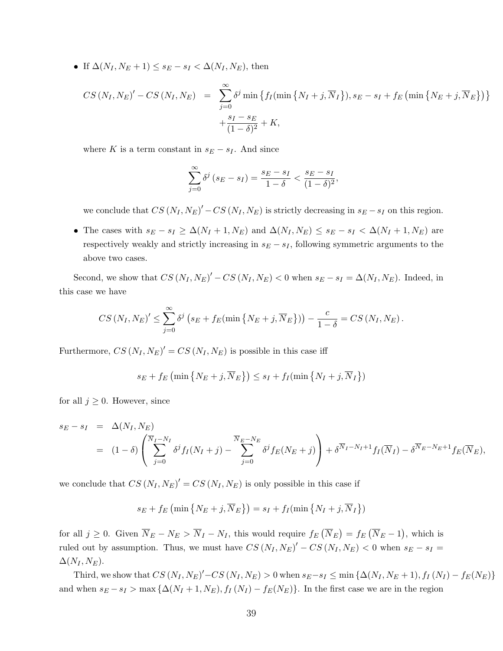If  $\Delta(N_I, N_E + 1) \leq s_E - s_I < \Delta(N_I, N_E)$ , then

$$
CS(N_I, N_E)' - CS(N_I, N_E) = \sum_{j=0}^{\infty} \delta^j \min \left\{ f_I(\min \left\{ N_I + j, \overline{N}_I \right\}), s_E - s_I + f_E(\min \left\{ N_E + j, \overline{N}_E \right\}) \right\} + \frac{s_I - s_E}{(1 - \delta)^2} + K,
$$

where K is a term constant in  $s_E - s_I$ . And since

$$
\sum_{j=0}^{\infty} \delta^j (s_E - s_I) = \frac{s_E - s_I}{1 - \delta} < \frac{s_E - s_I}{(1 - \delta)^2},
$$

we conclude that  $CS(N_I, N_E)' - CS(N_I, N_E)$  is strictly decreasing in  $s_E - s_I$  on this region.

• The cases with  $s_E - s_I \geq \Delta(N_I + 1, N_E)$  and  $\Delta(N_I, N_E) \leq s_E - s_I < \Delta(N_I + 1, N_E)$  are respectively weakly and strictly increasing in  $s_E - s_I$ , following symmetric arguments to the above two cases.

Second, we show that  $CS(N_I, N_E)' - CS(N_I, N_E) < 0$  when  $s_E - s_I = \Delta(N_I, N_E)$ . Indeed, in this case we have

$$
CS(N_I, N_E)' \leq \sum_{j=0}^{\infty} \delta^j \left( s_E + f_E(\min\left\{N_E + j, \overline{N}_E\right\}) \right) - \frac{c}{1-\delta} = CS(N_I, N_E).
$$

Furthermore,  $CS(N_I, N_E)' = CS(N_I, N_E)$  is possible in this case iff

$$
s_E + f_E \left( \min \left\{ N_E + j, \overline{N}_E \right\} \right) \leq s_I + f_I \left( \min \left\{ N_I + j, \overline{N}_I \right\} \right)
$$

for all  $j \geq 0$ . However, since

$$
s_E - s_I = \Delta(N_I, N_E)
$$
  
=  $(1 - \delta) \left( \sum_{j=0}^{\overline{N}_I - N_I} \delta^j f_I(N_I + j) - \sum_{j=0}^{\overline{N}_E - N_E} \delta^j f_E(N_E + j) \right) + \delta^{\overline{N}_I - N_I + 1} f_I(\overline{N}_I) - \delta^{\overline{N}_E - N_E + 1} f_E(\overline{N}_E),$ 

we conclude that  $CS(N_I, N_E)' = CS(N_I, N_E)$  is only possible in this case if

$$
s_E + f_E \left( \min \left\{ N_E + j, \overline{N}_E \right\} \right) = s_I + f_I \left( \min \left\{ N_I + j, \overline{N}_I \right\} \right)
$$

for all  $j \geq 0$ . Given  $\overline{N}_E - N_E > \overline{N}_I - N_I$ , this would require  $f_E(\overline{N}_E) = f_E(\overline{N}_E - 1)$ , which is ruled out by assumption. Thus, we must have  $CS(N_I, N_E)' - CS(N_I, N_E) < 0$  when  $s_E - s_I =$  $\Delta(N_I, N_E)$ .

Third, we show that  $CS(N_I, N_E)' - CS(N_I, N_E) > 0$  when  $s_E - s_I \le \min \{ \Delta(N_I, N_E + 1), f_I(N_I) - f_E(N_E) \}$ and when  $s_E - s_I > \max\{\Delta(N_I + 1, N_E), f_I(N_I) - f_E(N_E)\}\)$ . In the first case we are in the region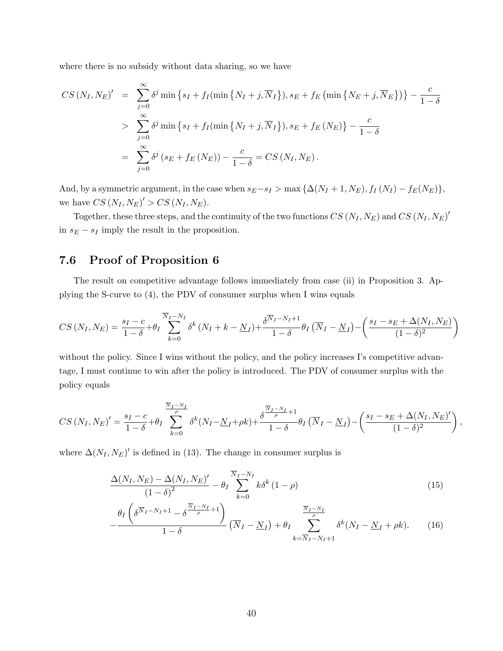where there is no subsidy without data sharing, so we have

$$
CS(N_I, N_E)' = \sum_{j=0}^{\infty} \delta^j \min \left\{ s_I + f_I(\min \left\{ N_I + j, \overline{N}_I \right\}), s_E + f_E(\min \left\{ N_E + j, \overline{N}_E \right\}) \right\} - \frac{c}{1 - \delta}
$$
  
> 
$$
\sum_{j=0}^{\infty} \delta^j \min \left\{ s_I + f_I(\min \left\{ N_I + j, \overline{N}_I \right\}), s_E + f_E(N_E) \right\} - \frac{c}{1 - \delta}
$$
  
= 
$$
\sum_{j=0}^{\infty} \delta^j (s_E + f_E(N_E)) - \frac{c}{1 - \delta} = CS(N_I, N_E).
$$

And, by a symmetric argument, in the case when  $s_E-s_I > \max{\{\Delta(N_I + 1, N_E), f_I(N_I) - f_E(N_E)\}},$ we have  $CS(N_I, N_E)'>CS(N_I, N_E)$ .

Together, these three steps, and the continuity of the two functions  $CS(N_I, N_E)$  and  $CS(N_I, N_E)'$ in  $s_E - s_I$  imply the result in the proposition.

## 7.6 Proof of Proposition [6](#page-19-0)

The result on competitive advantage follows immediately from case (ii) in Proposition [3.](#page-13-0) Applying the S-curve to [\(4\)](#page-16-1), the PDV of consumer surplus when I wins equals

$$
CS\left(N_I, N_E\right) = \frac{s_I - c}{1 - \delta} + \theta_I \sum_{k=0}^{\overline{N}_I - N_I} \delta^k \left(N_I + k - \underline{N}_I\right) + \frac{\delta^{\overline{N}_I - N_I + 1}}{1 - \delta} \theta_I \left(\overline{N}_I - \underline{N}_I\right) - \left(\frac{s_I - s_E + \Delta(N_I, N_E)}{(1 - \delta)^2}\right)
$$

without the policy. Since I wins without the policy, and the policy increases I's competitive advantage, I must continue to win after the policy is introduced. The PDV of consumer surplus with the policy equals

$$
CS\left(N_I, N_E\right)' = \frac{s_I - c}{1 - \delta} + \theta_I \sum_{k=0}^{\frac{\overline{N}_I - N_I}{\rho}} \delta^k (N_I - \underline{N}_I + \rho k) + \frac{\delta^{\frac{\overline{N}_I - N_I}{\rho} + 1}}{1 - \delta} \theta_I \left(\overline{N}_I - \underline{N}_I\right) - \left(\frac{s_I - s_E + \Delta(N_I, N_E)'}{(1 - \delta)^2}\right),
$$

where  $\Delta(N_I, N_E)'$  is defined in [\(13\)](#page-36-1). The change in consumer surplus is

<span id="page-39-0"></span>
$$
\frac{\Delta(N_I, N_E) - \Delta(N_I, N_E)'}{(1 - \delta)^2} - \theta_I \sum_{k=0}^{\overline{N}_I - N_I} k \delta^k (1 - \rho) \tag{15}
$$

$$
-\frac{\theta_I\left(\delta^{\overline{N}_I-N_I+1}-\delta^{\frac{\overline{N}_I-N_I}{\rho}+1}\right)}{1-\delta}\left(\overline{N}_I-\underline{N}_I\right)+\theta_I\sum_{k=\overline{N}_I-N_I+1}^{\frac{\overline{N}_I-N_I}{\rho}}\delta^k(N_I-\underline{N}_I+\rho k). \tag{16}
$$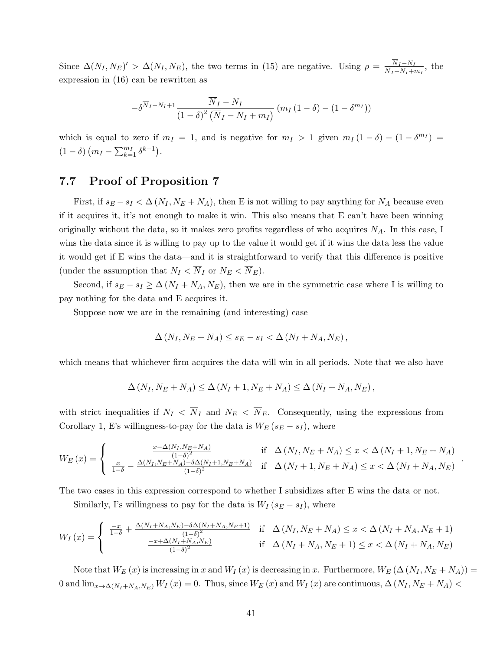Since  $\Delta(N_I, N_E)' > \Delta(N_I, N_E)$ , the two terms in [\(15\)](#page-39-0) are negative. Using  $\rho = \frac{N_I - N_I}{N_I - N_I + \epsilon}$  $\frac{N_I-N_I}{\overline{N}_I-N_I+m_I}$ , the expression in [\(16\)](#page-39-0) can be rewritten as

$$
-\delta^{\overline{N}_I - N_I + 1} \frac{\overline{N}_I - N_I}{(1 - \delta)^2 (\overline{N}_I - N_I + m_I)} (m_I (1 - \delta) - (1 - \delta^{m_I}))
$$

which is equal to zero if  $m_I = 1$ , and is negative for  $m_I > 1$  given  $m_I (1 - \delta) - (1 - \delta^{m_I}) =$  $(1 - \delta) (m_I - \sum_{k=1}^{m_I} \delta^{k-1}).$ 

### 7.7 Proof of Proposition [7](#page-20-0)

First, if  $s_E - s_I < \Delta (N_I, N_E + N_A)$ , then E is not willing to pay anything for  $N_A$  because even if it acquires it, it's not enough to make it win. This also means that E can't have been winning originally without the data, so it makes zero profits regardless of who acquires  $N_A$ . In this case, I wins the data since it is willing to pay up to the value it would get if it wins the data less the value it would get if E wins the data—and it is straightforward to verify that this difference is positive (under the assumption that  $N_I < \overline{N}_I$  or  $N_E < \overline{N}_E$ ).

Second, if  $s_E - s_I \ge \Delta (N_I + N_A, N_E)$ , then we are in the symmetric case where I is willing to pay nothing for the data and E acquires it.

Suppose now we are in the remaining (and interesting) case

$$
\Delta (N_I, N_E + N_A) \le s_E - s_I < \Delta (N_I + N_A, N_E),
$$

which means that whichever firm acquires the data will win in all periods. Note that we also have

$$
\Delta (N_I, N_E + N_A) \le \Delta (N_I + 1, N_E + N_A) \le \Delta (N_I + N_A, N_E),
$$

with strict inequalities if  $N_I < \overline{N}_I$  and  $N_E < \overline{N}_E$ . Consequently, using the expressions from Corollary [1,](#page-11-0) E's willingness-to-pay for the data is  $W_E$  ( $s_E - s_I$ ), where

$$
W_{E}(x) = \begin{cases} \frac{x - \Delta(N_{I}, N_{E} + N_{A})}{(1 - \delta)^{2}} & \text{if } \Delta(N_{I}, N_{E} + N_{A}) \leq x < \Delta(N_{I} + 1, N_{E} + N_{A})\\ \frac{x}{1 - \delta} - \frac{\Delta(N_{I}, N_{E} + N_{A}) - \delta \Delta(N_{I} + 1, N_{E} + N_{A})}{(1 - \delta)^{2}} & \text{if } \Delta(N_{I} + 1, N_{E} + N_{A}) \leq x < \Delta(N_{I} + N_{A}, N_{E}) \end{cases}
$$

.

The two cases in this expression correspond to whether I subsidizes after E wins the data or not.

Similarly, I's willingness to pay for the data is  $W_I (s_E - s_I)$ , where

$$
W_{I}(x) = \begin{cases} \frac{-x}{1-\delta} + \frac{\Delta(N_{I} + N_{A}, N_{E}) - \delta \Delta(N_{I} + N_{A}, N_{E} + 1)}{(1-\delta)^{2}} & \text{if } \Delta(N_{I}, N_{E} + N_{A}) \leq x < \Delta(N_{I} + N_{A}, N_{E} + 1) \\ \frac{-x + \Delta(N_{I} + N_{A}, N_{E})}{(1-\delta)^{2}} & \text{if } \Delta(N_{I} + N_{A}, N_{E} + 1) \leq x < \Delta(N_{I} + N_{A}, N_{E}) \end{cases}
$$

Note that  $W_E(x)$  is increasing in x and  $W_I(x)$  is decreasing in x. Furthermore,  $W_E(\Delta(N_I, N_E + N_A)) =$ 0 and  $\lim_{x\to\Delta(N_I+N_A,N_E)} W_I(x) = 0$ . Thus, since  $W_E(x)$  and  $W_I(x)$  are continuous,  $\Delta(N_I, N_E+N_A)$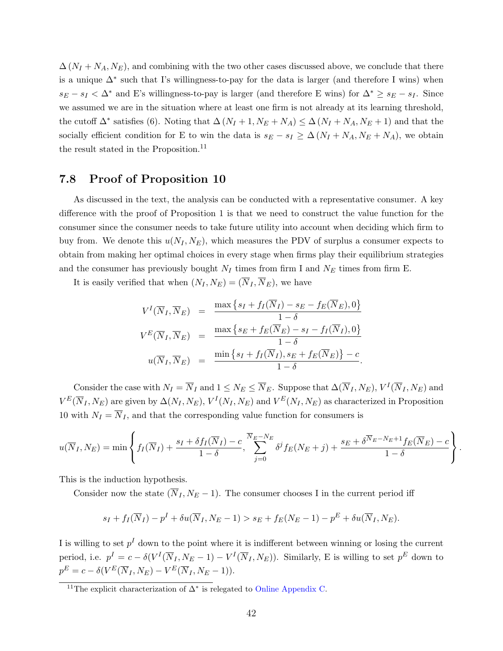$\Delta (N_I + N_A, N_E)$ , and combining with the two other cases discussed above, we conclude that there is a unique  $\Delta^*$  such that I's willingness-to-pay for the data is larger (and therefore I wins) when  $s_E - s_I < \Delta^*$  and E's willingness-to-pay is larger (and therefore E wins) for  $\Delta^* \geq s_E - s_I$ . Since we assumed we are in the situation where at least one firm is not already at its learning threshold, the cutoff  $\Delta^*$  satisfies [\(6\)](#page-20-1). Noting that  $\Delta (N_I + 1, N_E + N_A) \leq \Delta (N_I + N_A, N_E + 1)$  and that the socially efficient condition for E to win the data is  $s_E - s_I \geq \Delta (N_I + N_A, N_E + N_A)$ , we obtain the result stated in the Proposition.<sup>[11](#page-0-0)</sup>

#### 7.8 Proof of Proposition [10](#page-24-0)

As discussed in the text, the analysis can be conducted with a representative consumer. A key difference with the proof of Proposition [1](#page-9-0) is that we need to construct the value function for the consumer since the consumer needs to take future utility into account when deciding which firm to buy from. We denote this  $u(N_I, N_E)$ , which measures the PDV of surplus a consumer expects to obtain from making her optimal choices in every stage when firms play their equilibrium strategies and the consumer has previously bought  $N_I$  times from firm I and  $N_E$  times from firm E.

It is easily verified that when  $(N_I, N_E) = (\overline{N}_I, \overline{N}_E)$ , we have

$$
V^I(\overline{N}_I, \overline{N}_E) = \frac{\max \{s_I + f_I(\overline{N}_I) - s_E - f_E(\overline{N}_E), 0\}}{1 - \delta}
$$
  

$$
V^E(\overline{N}_I, \overline{N}_E) = \frac{\max \{s_E + f_E(\overline{N}_E) - s_I - f_I(\overline{N}_I), 0\}}{1 - \delta}
$$
  

$$
u(\overline{N}_I, \overline{N}_E) = \frac{\min \{s_I + f_I(\overline{N}_I), s_E + f_E(\overline{N}_E)\} - c}{1 - \delta}.
$$

Consider the case with  $N_I = \overline{N}_I$  and  $1 \le N_E \le \overline{N}_E$ . Suppose that  $\Delta(\overline{N}_I, N_E)$ ,  $V^I(\overline{N}_I, N_E)$  and  $V^{E}(\overline{N}_{I}, N_{E})$  are given by  $\Delta(N_{I}, N_{E}), V^{I}(N_{I}, N_{E})$  and  $V^{E}(N_{I}, N_{E})$  as characterized in Proposition [10](#page-24-0) with  $N_I = \overline{N}_I$ , and that the corresponding value function for consumers is

$$
u(\overline{N}_I, N_E) = \min \left\{ f_I(\overline{N}_I) + \frac{s_I + \delta f_I(\overline{N}_I) - c}{1 - \delta}, \sum_{j=0}^{\overline{N}_E - N_E} \delta^j f_E(N_E + j) + \frac{s_E + \delta^{\overline{N}_E - N_E + 1} f_E(\overline{N}_E) - c}{1 - \delta} \right\}.
$$

This is the induction hypothesis.

Consider now the state  $(\overline{N}_I, N_E-1)$ . The consumer chooses I in the current period iff

$$
s_I + f_I(\overline{N}_I) - p^I + \delta u(\overline{N}_I, N_E - 1) > s_E + f_E(N_E - 1) - p^E + \delta u(\overline{N}_I, N_E).
$$

I is willing to set  $p<sup>I</sup>$  down to the point where it is indifferent between winning or losing the current period, i.e.  $p^I = c - \delta(V^I(\overline{N}_I, N_E - 1) - V^I(\overline{N}_I, N_E))$ . Similarly, E is willing to set  $p^E$  down to  $p^E = c - \delta(V^E(\overline{N}_I, N_E) - V^E(\overline{N}_I, N_E - 1)).$ 

<sup>&</sup>lt;sup>11</sup>The explicit characterization of  $\Delta^*$  is relegated to [Online Appendix C.](https://app.scholarsite.io/s/bbdeca)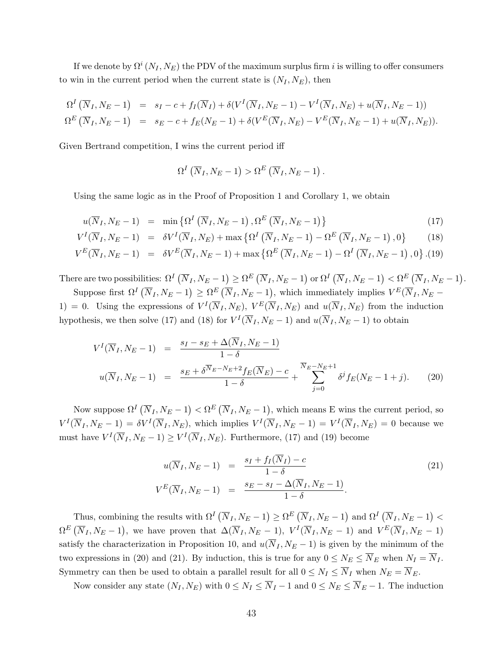If we denote by  $\Omega^i\left(N_I,N_E\right)$  the PDV of the maximum surplus firm  $i$  is willing to offer consumers to win in the current period when the current state is  $(N_I, N_E)$ , then

$$
\Omega^I\left(\overline{N}_I, N_E - 1\right) = s_I - c + f_I(\overline{N}_I) + \delta(V^I(\overline{N}_I, N_E - 1) - V^I(\overline{N}_I, N_E) + u(\overline{N}_I, N_E - 1))
$$
  
\n
$$
\Omega^E\left(\overline{N}_I, N_E - 1\right) = s_E - c + f_E(N_E - 1) + \delta(V^E(\overline{N}_I, N_E) - V^E(\overline{N}_I, N_E - 1) + u(\overline{N}_I, N_E)).
$$

Given Bertrand competition, I wins the current period iff

$$
\Omega^I\left(\overline{N}_I,N_E-1\right) > \Omega^E\left(\overline{N}_I,N_E-1\right)
$$

Using the same logic as in the Proof of Proposition [1](#page-9-0) and Corollary [1,](#page-11-0) we obtain

<span id="page-42-0"></span>
$$
u(\overline{N}_I, N_E - 1) = \min\left\{\Omega^I\left(\overline{N}_I, N_E - 1\right), \Omega^E\left(\overline{N}_I, N_E - 1\right)\right\} \tag{17}
$$

.

$$
V^{I}(\overline{N}_{I}, N_{E}-1) = \delta V^{I}(\overline{N}_{I}, N_{E}) + \max \left\{ \Omega^{I}(\overline{N}_{I}, N_{E}-1) - \Omega^{E}(\overline{N}_{I}, N_{E}-1) \right\} \tag{18}
$$

$$
V^{E}(\overline{N}_{I}, N_{E}-1) = \delta V^{E}(\overline{N}_{I}, N_{E}-1) + \max \left\{ \Omega^{E}(\overline{N}_{I}, N_{E}-1) - \Omega^{I}(\overline{N}_{I}, N_{E}-1), 0 \right\}.
$$
(19)

There are two possibilities:  $\Omega^I(\overline{N}_I, N_E - 1) \geq \Omega^E(\overline{N}_I, N_E - 1)$  or  $\Omega^I(\overline{N}_I, N_E - 1) < \Omega^E(\overline{N}_I, N_E - 1)$ .

Suppose first  $\Omega^I(\overline{N}_I, N_E-1) \geq \Omega^E(\overline{N}_I, N_E-1)$ , which immediately implies  $V^E(\overline{N}_I, N_E-1)$ 1) = 0. Using the expressions of  $V^I(\overline{N}_I, N_E)$ ,  $V^E(\overline{N}_I, N_E)$  and  $u(\overline{N}_I, N_E)$  from the induction hypothesis, we then solve [\(17\)](#page-42-0) and [\(18\)](#page-42-0) for  $V^I(\overline{N}_I, N_E-1)$  and  $u(\overline{N}_I, N_E-1)$  to obtain

<span id="page-42-1"></span>
$$
V^{I}(\overline{N}_{I}, N_{E} - 1) = \frac{s_{I} - s_{E} + \Delta(\overline{N}_{I}, N_{E} - 1)}{1 - \delta}
$$
  

$$
u(\overline{N}_{I}, N_{E} - 1) = \frac{s_{E} + \delta^{\overline{N}_{E} - N_{E} + 2} f_{E}(\overline{N}_{E}) - c}{1 - \delta} + \sum_{j=0}^{\overline{N}_{E} - N_{E} + 1} \delta^{j} f_{E}(N_{E} - 1 + j). \tag{20}
$$

Now suppose  $\Omega^I(\overline{N}_I, N_E-1) < \Omega^E(\overline{N}_I, N_E-1)$ , which means E wins the current period, so  $V^I(\overline{N}_I, N_E-1) = \delta V^I(\overline{N}_I, N_E)$ , which implies  $V^I(\overline{N}_I, N_E-1) = V^I(\overline{N}_I, N_E) = 0$  because we must have  $V^I(\overline{N}_I, N_E - 1) \geq V^I(\overline{N}_I, N_E)$ . Furthermore, [\(17\)](#page-42-0) and [\(19\)](#page-42-0) become

<span id="page-42-2"></span>
$$
u(\overline{N}_I, N_E - 1) = \frac{s_I + f_I(\overline{N}_I) - c}{1 - \delta}
$$
  
\n
$$
V^E(\overline{N}_I, N_E - 1) = \frac{s_E - s_I - \Delta(\overline{N}_I, N_E - 1)}{1 - \delta}.
$$
\n(21)

Thus, combining the results with  $\Omega^I(\overline{N}_I, N_E - 1) \ge \Omega^E(\overline{N}_I, N_E - 1)$  and  $\Omega^I(\overline{N}_I, N_E - 1)$  $\Omega^E(\overline{N}_I, N_E-1)$ , we have proven that  $\Delta(\overline{N}_I, N_E-1)$ ,  $V^I(\overline{N}_I, N_E-1)$  and  $V^E(\overline{N}_I, N_E-1)$ satisfy the characterization in Proposition [10,](#page-24-0) and  $u(\overline{N}_I, N_E - 1)$  is given by the minimum of the two expressions in [\(20\)](#page-42-1) and [\(21\)](#page-42-2). By induction, this is true for any  $0 \leq N_E \leq \overline{N}_E$  when  $N_I = \overline{N}_I$ . Symmetry can then be used to obtain a parallel result for all  $0 \le N_I \le \overline{N}_I$  when  $N_E = \overline{N}_E$ .

Now consider any state  $(N_I, N_E)$  with  $0 \le N_I \le \overline{N}_I - 1$  and  $0 \le N_E \le \overline{N}_E - 1$ . The induction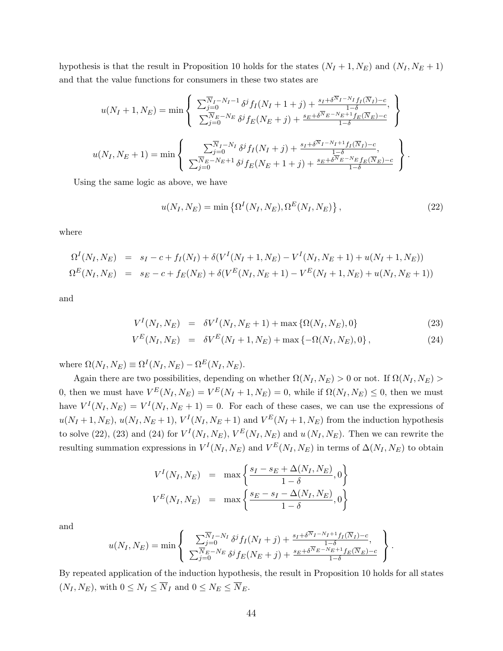hypothesis is that the result in Proposition [10](#page-24-0) holds for the states  $(N_I + 1, N_E)$  and  $(N_I, N_E + 1)$ and that the value functions for consumers in these two states are

$$
u(N_I + 1, N_E) = \min \left\{ \begin{array}{l} \sum_{j=0}^{\overline{N}_I - N_I - 1} \delta^j f_I(N_I + 1 + j) + \frac{s_I + \delta^{\overline{N}_I - N_I} f_I(\overline{N}_I) - c}{1 - \delta}, \\ \sum_{j=0}^{\overline{N}_E - N_E} \delta^j f_E(N_E + j) + \frac{s_E + \delta^{\overline{N}_E - N_E + 1} f_E(\overline{N}_E) - c}{1 - \delta} \end{array} \right\}
$$
  

$$
u(N_I, N_E + 1) = \min \left\{ \begin{array}{l} \sum_{j=0}^{\overline{N}_I - N_I} \delta^j f_I(N_I + j) + \frac{s_I + \delta^{\overline{N}_I - N_I + 1} f_I(\overline{N}_I) - c}{1 - \delta}, \\ \sum_{j=0}^{\overline{N}_E - N_E + 1} \delta^j f_E(N_E + 1 + j) + \frac{s_E + \delta^{\overline{N}_E - N_E} f_E(\overline{N}_E) - c}{1 - \delta} \end{array} \right\}.
$$

Using the same logic as above, we have

<span id="page-43-0"></span>
$$
u(N_I, N_E) = \min\left\{\Omega^I(N_I, N_E), \Omega^E(N_I, N_E)\right\},\tag{22}
$$

where

$$
\Omega^{I}(N_{I}, N_{E}) = s_{I} - c + f_{I}(N_{I}) + \delta(V^{I}(N_{I} + 1, N_{E}) - V^{I}(N_{I}, N_{E} + 1) + u(N_{I} + 1, N_{E}))
$$
  
\n
$$
\Omega^{E}(N_{I}, N_{E}) = s_{E} - c + f_{E}(N_{E}) + \delta(V^{E}(N_{I}, N_{E} + 1) - V^{E}(N_{I} + 1, N_{E}) + u(N_{I}, N_{E} + 1))
$$

and

<span id="page-43-1"></span>
$$
V^{I}(N_{I}, N_{E}) = \delta V^{I}(N_{I}, N_{E} + 1) + \max \{ \Omega(N_{I}, N_{E}), 0 \}
$$
\n(23)

$$
V^{E}(N_{I}, N_{E}) = \delta V^{E}(N_{I} + 1, N_{E}) + \max\{-\Omega(N_{I}, N_{E}), 0\}, \qquad (24)
$$

where  $\Omega(N_I, N_E) \equiv \Omega^I(N_I, N_E) - \Omega^E(N_I, N_E)$ .

Again there are two possibilities, depending on whether  $\Omega(N_I, N_E) > 0$  or not. If  $\Omega(N_I, N_E) > 0$ 0, then we must have  $V^{E}(N_I, N_E) = V^{E}(N_I + 1, N_E) = 0$ , while if  $\Omega(N_I, N_E) \leq 0$ , then we must have  $V^I(N_I, N_E) = V^I(N_I, N_E + 1) = 0$ . For each of these cases, we can use the expressions of  $u(N_I+1, N_E)$ ,  $u(N_I, N_E+1)$ ,  $V^I(N_I, N_E+1)$  and  $V^E(N_I+1, N_E)$  from the induction hypothesis to solve [\(22\)](#page-43-0), [\(23\)](#page-43-1) and [\(24\)](#page-43-1) for  $V^I(N_I, N_E)$ ,  $V^E(N_I, N_E)$  and  $u(N_I, N_E)$ . Then we can rewrite the resulting summation expressions in  $V^I(N_I, N_E)$  and  $V^E(N_I, N_E)$  in terms of  $\Delta(N_I, N_E)$  to obtain

$$
V^{I}(N_{I}, N_{E}) = \max \left\{ \frac{s_{I} - s_{E} + \Delta(N_{I}, N_{E})}{1 - \delta}, 0 \right\}
$$
  

$$
V^{E}(N_{I}, N_{E}) = \max \left\{ \frac{s_{E} - s_{I} - \Delta(N_{I}, N_{E})}{1 - \delta}, 0 \right\}
$$

and

$$
u(N_I, N_E) = \min \left\{ \sum_{j=0}^{\overline{N}_I - N_I} \delta^j f_I(N_I + j) + \frac{s_I + \delta^{\overline{N}_I - N_I + 1} f_I(\overline{N}_I) - c}{1 - \delta}, \sum_{j=0}^{\overline{N}_E - N_E} \delta^j f_E(N_E + j) + \frac{s_E + \delta^{\overline{N}_E - N_E + 1} f_E(\overline{N}_E) - c}{1 - \delta} \right\}.
$$

By repeated application of the induction hypothesis, the result in Proposition [10](#page-24-0) holds for all states  $(N_I, N_E)$ , with  $0 \leq N_I \leq \overline{N}_I$  and  $0 \leq N_E \leq \overline{N}_E$ .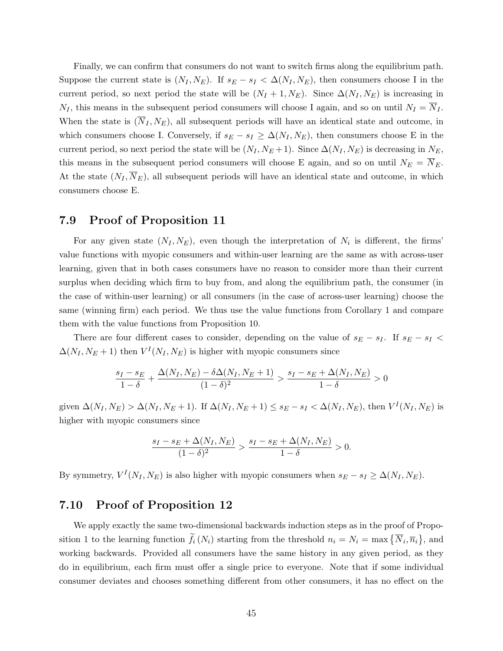Finally, we can confirm that consumers do not want to switch firms along the equilibrium path. Suppose the current state is  $(N_I, N_E)$ . If  $s_E - s_I < \Delta(N_I, N_E)$ , then consumers choose I in the current period, so next period the state will be  $(N_I + 1, N_E)$ . Since  $\Delta(N_I, N_E)$  is increasing in  $N_I$ , this means in the subsequent period consumers will choose I again, and so on until  $N_I = \overline{N}_I$ . When the state is  $(\overline{N}_I, N_E)$ , all subsequent periods will have an identical state and outcome, in which consumers choose I. Conversely, if  $s_E - s_I \geq \Delta(N_I, N_E)$ , then consumers choose E in the current period, so next period the state will be  $(N_I, N_E + 1)$ . Since  $\Delta(N_I, N_E)$  is decreasing in  $N_E$ , this means in the subsequent period consumers will choose E again, and so on until  $N_E = \overline{N}_E$ . At the state  $(N_I, \overline{N}_E)$ , all subsequent periods will have an identical state and outcome, in which consumers choose E.

### 7.9 Proof of Proposition [11](#page-25-0)

For any given state  $(N_I, N_E)$ , even though the interpretation of  $N_i$  is different, the firms' value functions with myopic consumers and within-user learning are the same as with across-user learning, given that in both cases consumers have no reason to consider more than their current surplus when deciding which firm to buy from, and along the equilibrium path, the consumer (in the case of within-user learning) or all consumers (in the case of across-user learning) choose the same (winning firm) each period. We thus use the value functions from Corollary [1](#page-11-0) and compare them with the value functions from Proposition [10.](#page-24-0)

There are four different cases to consider, depending on the value of  $s_E - s_I$ . If  $s_E - s_I$  $\Delta(N_I, N_E + 1)$  then  $V^I(N_I, N_E)$  is higher with myopic consumers since

$$
\frac{s_I - s_E}{1 - \delta} + \frac{\Delta(N_I, N_E) - \delta \Delta(N_I, N_E + 1)}{(1 - \delta)^2} > \frac{s_I - s_E + \Delta(N_I, N_E)}{1 - \delta} > 0
$$

given  $\Delta(N_I, N_E) > \Delta(N_I, N_E + 1)$ . If  $\Delta(N_I, N_E + 1) \le s_E - s_I < \Delta(N_I, N_E)$ , then  $V^I(N_I, N_E)$  is higher with myopic consumers since

$$
\frac{s_I - s_E + \Delta(N_I, N_E)}{(1 - \delta)^2} > \frac{s_I - s_E + \Delta(N_I, N_E)}{1 - \delta} > 0.
$$

By symmetry,  $V^I(N_I, N_E)$  is also higher with myopic consumers when  $s_E - s_I \geq \Delta(N_I, N_E)$ .

#### 7.10 Proof of Proposition [12](#page-28-0)

We apply exactly the same two-dimensional backwards induction steps as in the proof of Propo-sition [1](#page-9-0) to the learning function  $f_i(N_i)$  starting from the threshold  $n_i = N_i = \max\{\overline{N}_i, \overline{n}_i\}$ , and working backwards. Provided all consumers have the same history in any given period, as they do in equilibrium, each firm must offer a single price to everyone. Note that if some individual consumer deviates and chooses something different from other consumers, it has no effect on the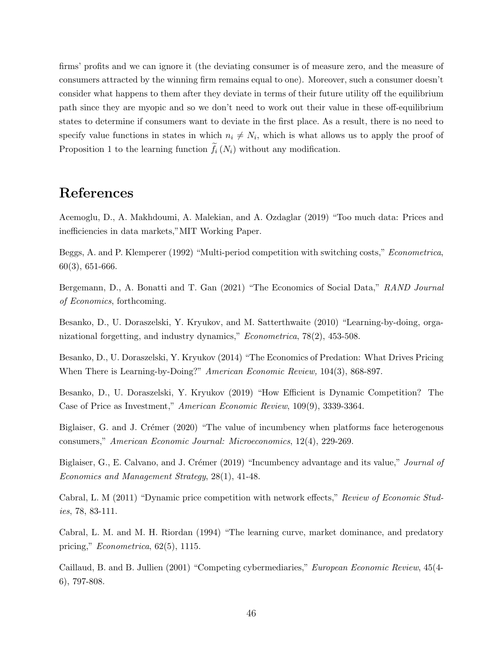firms' profits and we can ignore it (the deviating consumer is of measure zero, and the measure of consumers attracted by the winning firm remains equal to one). Moreover, such a consumer doesn't consider what happens to them after they deviate in terms of their future utility off the equilibrium path since they are myopic and so we don't need to work out their value in these off-equilibrium states to determine if consumers want to deviate in the first place. As a result, there is no need to specify value functions in states in which  $n_i \neq N_i$ , which is what allows us to apply the proof of Proposition [1](#page-9-0) to the learning function  $f_i(N_i)$  without any modification.

# References

Acemoglu, D., A. Makhdoumi, A. Malekian, and A. Ozdaglar (2019) "Too much data: Prices and inefficiencies in data markets,"MIT Working Paper.

Beggs, A. and P. Klemperer (1992) "Multi-period competition with switching costs," Econometrica, 60(3), 651-666.

Bergemann, D., A. Bonatti and T. Gan (2021) "The Economics of Social Data," RAND Journal of Economics, forthcoming.

Besanko, D., U. Doraszelski, Y. Kryukov, and M. Satterthwaite (2010) "Learning-by-doing, organizational forgetting, and industry dynamics," Econometrica, 78(2), 453-508.

Besanko, D., U. Doraszelski, Y. Kryukov (2014) "The Economics of Predation: What Drives Pricing When There is Learning-by-Doing?" American Economic Review, 104(3), 868-897.

Besanko, D., U. Doraszelski, Y. Kryukov (2019) "How Efficient is Dynamic Competition? The Case of Price as Investment," American Economic Review, 109(9), 3339-3364.

Biglaiser, G. and J. Crémer (2020) "The value of incumbency when platforms face heterogenous consumers," American Economic Journal: Microeconomics, 12(4), 229-269.

Biglaiser, G., E. Calvano, and J. Crémer (2019) "Incumbency advantage and its value," Journal of Economics and Management Strategy, 28(1), 41-48.

Cabral, L. M (2011) "Dynamic price competition with network effects," Review of Economic Studies, 78, 83-111.

Cabral, L. M. and M. H. Riordan (1994) "The learning curve, market dominance, and predatory pricing," Econometrica, 62(5), 1115.

Caillaud, B. and B. Jullien (2001) "Competing cybermediaries," European Economic Review, 45(4- 6), 797-808.